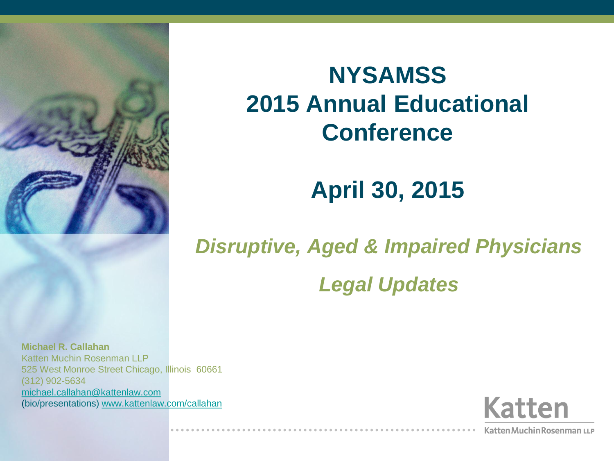

### **NYSAMSS 2015 Annual Educational Conference**

### **April 30, 2015**

#### *Disruptive, Aged & Impaired Physicians*

#### *Legal Updates*

**Michael R. Callahan** Katten Muchin Rosenman LLP 525 West Monroe Street Chicago, Illinois 60661 (312) 902-5634 [michael.callahan@kattenlaw.com](mailto:michael.callahan@kattenlaw.com) (bio/presentations) [www.kattenlaw.com/callahan](http://www.kattenlaw.com/callahan)



Katten Muchin Rosenman LLP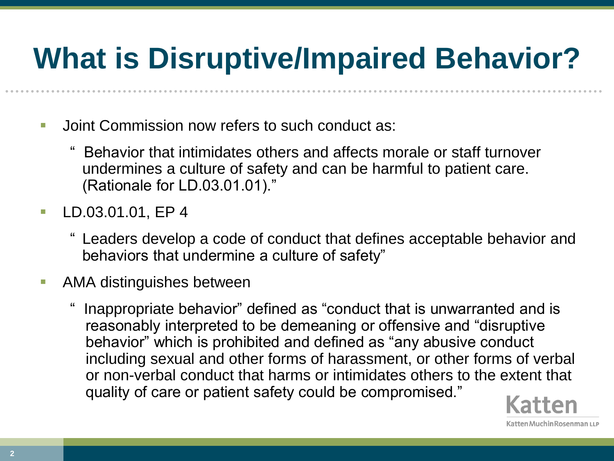# **What is Disruptive/Impaired Behavior?**

- **Joint Commission now refers to such conduct as:** 
	- " Behavior that intimidates others and affects morale or staff turnover undermines a culture of safety and can be harmful to patient care. (Rationale for LD.03.01.01)."
- **LD.03.01.01, EP 4** 
	- Leaders develop a code of conduct that defines acceptable behavior and behaviors that undermine a culture of safety"
- **AMA** distinguishes between
	- Inappropriate behavior" defined as "conduct that is unwarranted and is reasonably interpreted to be demeaning or offensive and "disruptive behavior" which is prohibited and defined as "any abusive conduct including sexual and other forms of harassment, or other forms of verbal or non-verbal conduct that harms or intimidates others to the extent that quality of care or patient safety could be compromised."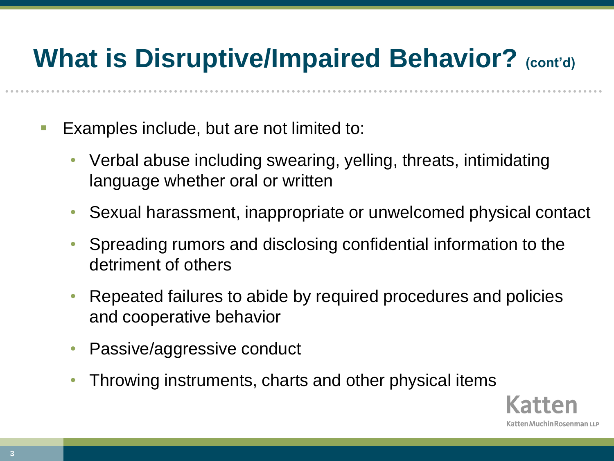## **What is Disruptive/Impaired Behavior?** (cont'd)

- **Examples include, but are not limited to:** 
	- Verbal abuse including swearing, yelling, threats, intimidating language whether oral or written
	- Sexual harassment, inappropriate or unwelcomed physical contact
	- Spreading rumors and disclosing confidential information to the detriment of others
	- Repeated failures to abide by required procedures and policies and cooperative behavior
	- Passive/aggressive conduct
	- Throwing instruments, charts and other physical items

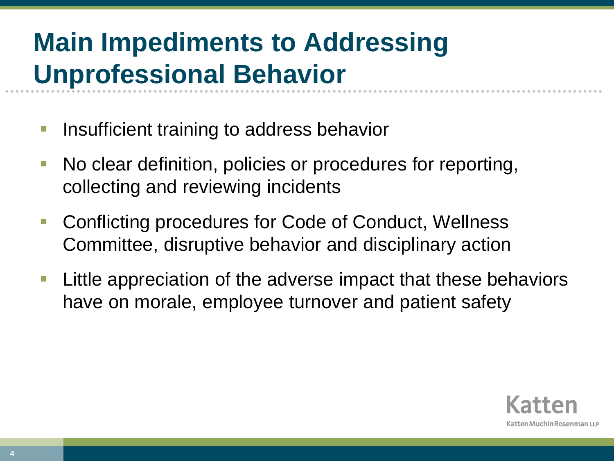## **Main Impediments to Addressing Unprofessional Behavior**

- Insufficient training to address behavior
- No clear definition, policies or procedures for reporting, collecting and reviewing incidents
- Conflicting procedures for Code of Conduct, Wellness Committee, disruptive behavior and disciplinary action
- Little appreciation of the adverse impact that these behaviors have on morale, employee turnover and patient safety

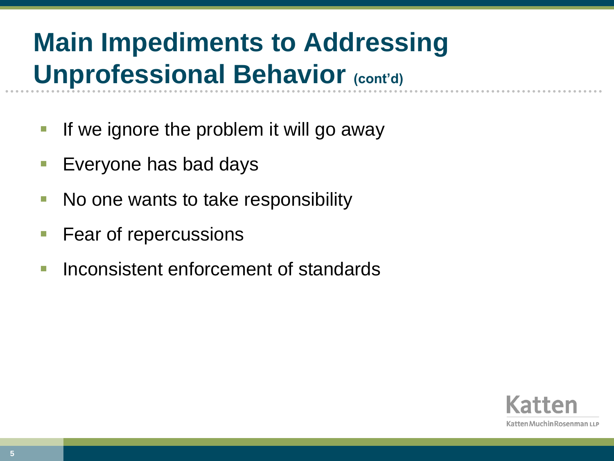## **Main Impediments to Addressing Unprofessional Behavior (cont'd)**

- **If we ignore the problem it will go away**
- Everyone has bad days
- No one wants to take responsibility
- **Fear of repercussions**
- Inconsistent enforcement of standards

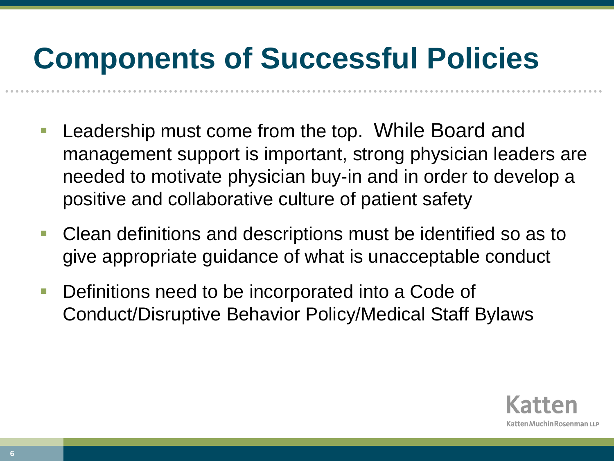# **Components of Successful Policies**

- Leadership must come from the top. While Board and management support is important, strong physician leaders are needed to motivate physician buy-in and in order to develop a positive and collaborative culture of patient safety
- Clean definitions and descriptions must be identified so as to give appropriate guidance of what is unacceptable conduct
- Definitions need to be incorporated into a Code of Conduct/Disruptive Behavior Policy/Medical Staff Bylaws

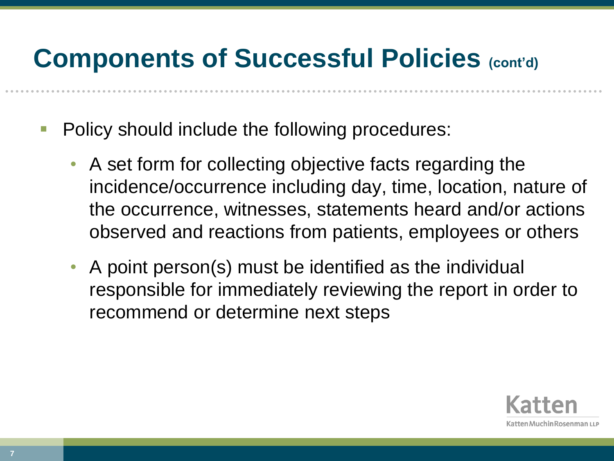- Policy should include the following procedures:
	- A set form for collecting objective facts regarding the incidence/occurrence including day, time, location, nature of the occurrence, witnesses, statements heard and/or actions observed and reactions from patients, employees or others
	- A point person(s) must be identified as the individual responsible for immediately reviewing the report in order to recommend or determine next steps

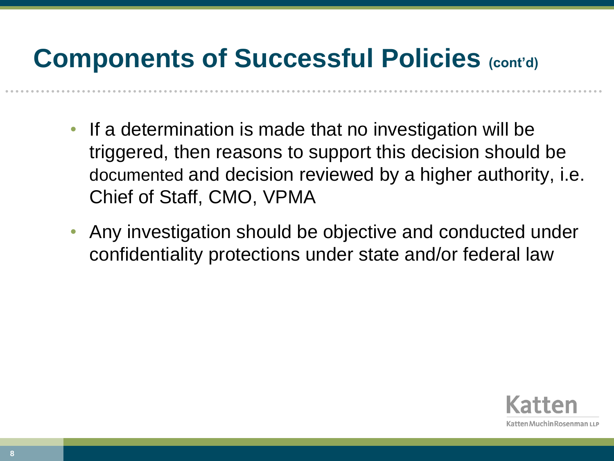- If a determination is made that no investigation will be triggered, then reasons to support this decision should be documented and decision reviewed by a higher authority, i.e. Chief of Staff, CMO, VPMA
- Any investigation should be objective and conducted under confidentiality protections under state and/or federal law

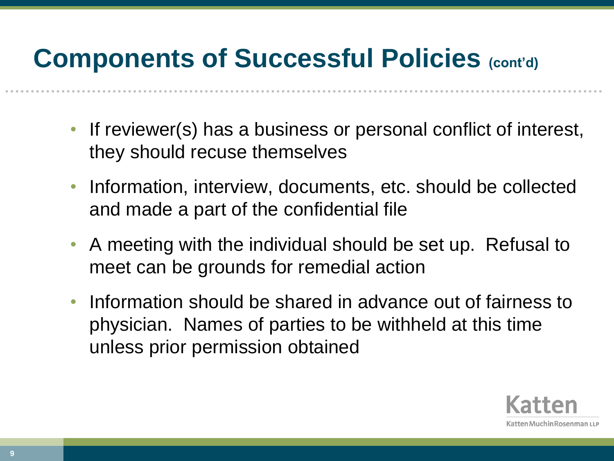- If reviewer(s) has a business or personal conflict of interest, they should recuse themselves
- Information, interview, documents, etc. should be collected and made a part of the confidential file
- A meeting with the individual should be set up. Refusal to meet can be grounds for remedial action
- Information should be shared in advance out of fairness to physician. Names of parties to be withheld at this time unless prior permission obtained

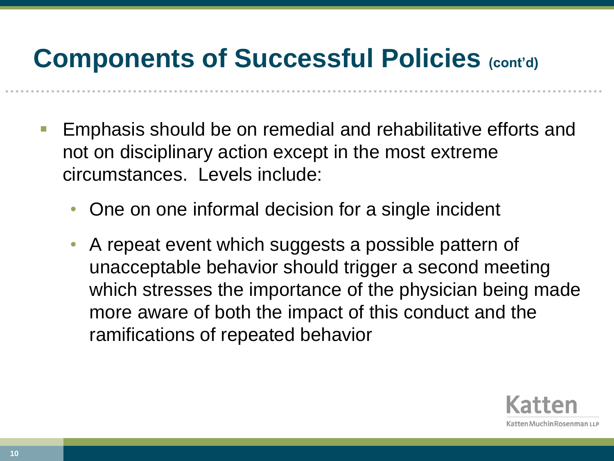- Emphasis should be on remedial and rehabilitative efforts and not on disciplinary action except in the most extreme circumstances. Levels include:
	- One on one informal decision for a single incident
	- A repeat event which suggests a possible pattern of unacceptable behavior should trigger a second meeting which stresses the importance of the physician being made more aware of both the impact of this conduct and the ramifications of repeated behavior

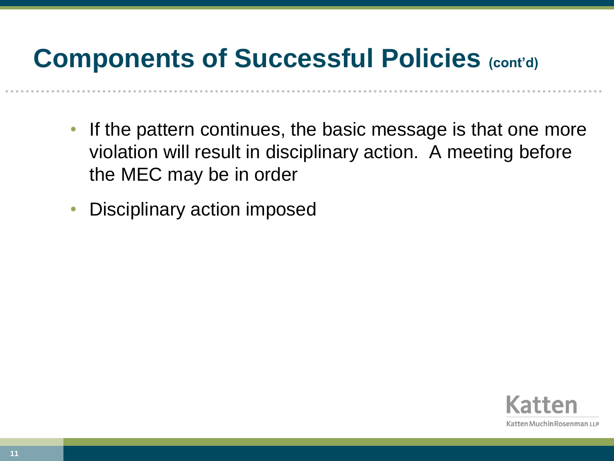- If the pattern continues, the basic message is that one more violation will result in disciplinary action. A meeting before the MEC may be in order
- Disciplinary action imposed

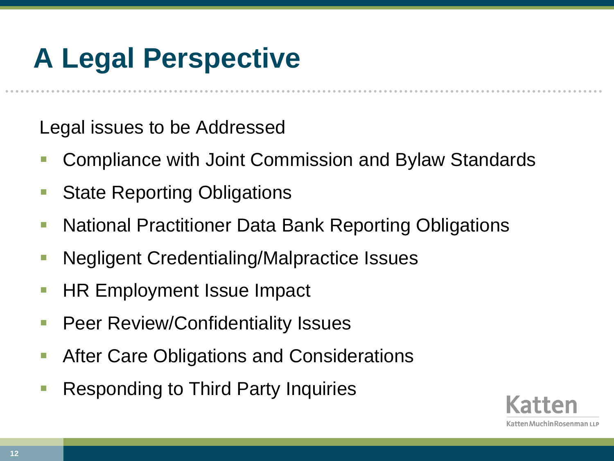# **A Legal Perspective**

Legal issues to be Addressed

- Compliance with Joint Commission and Bylaw Standards
- State Reporting Obligations
- National Practitioner Data Bank Reporting Obligations
- Negligent Credentialing/Malpractice Issues
- HR Employment Issue Impact
- Peer Review/Confidentiality Issues
- After Care Obligations and Considerations
- Responding to Third Party Inquiries

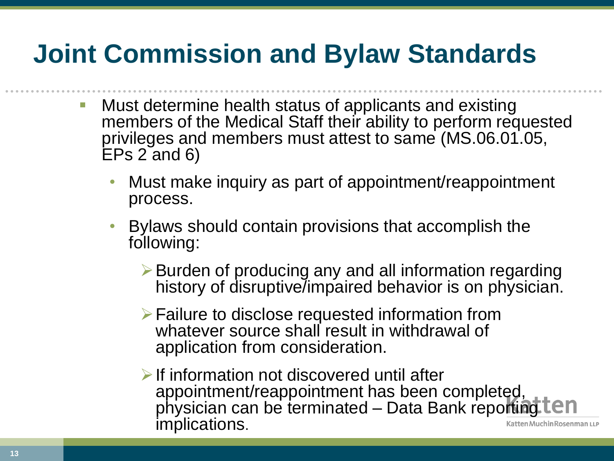## **Joint Commission and Bylaw Standards**

- **Nust determine health status of applicants and existing** members of the Medical Staff their ability to perform requested privileges and members must attest to same (MS.06.01.05, EPs 2 and 6)
	- Must make inquiry as part of appointment/reappointment process.
	- Bylaws should contain provisions that accomplish the following:
		- Burden of producing any and all information regarding history of disruptive/impaired behavior is on physician.
		- Failure to disclose requested information from whatever source shall result in withdrawal of application from consideration.
		- $\triangleright$  If information not discovered until after appointment/reappointment has been completed, physician can be terminated – Data Bank reporting implications.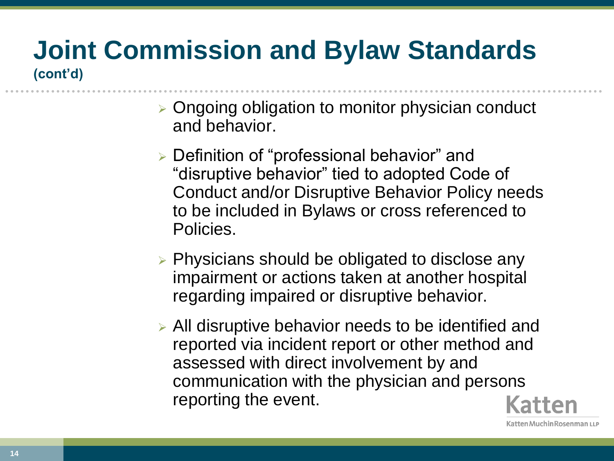#### **Joint Commission and Bylaw Standards (cont'd)**

- $\triangleright$  Ongoing obligation to monitor physician conduct and behavior.
- Definition of "professional behavior" and "disruptive behavior" tied to adopted Code of Conduct and/or Disruptive Behavior Policy needs to be included in Bylaws or cross referenced to Policies.
- $\triangleright$  Physicians should be obligated to disclose any impairment or actions taken at another hospital regarding impaired or disruptive behavior.
- All disruptive behavior needs to be identified and reported via incident report or other method and assessed with direct involvement by and communication with the physician and persons reporting the event.

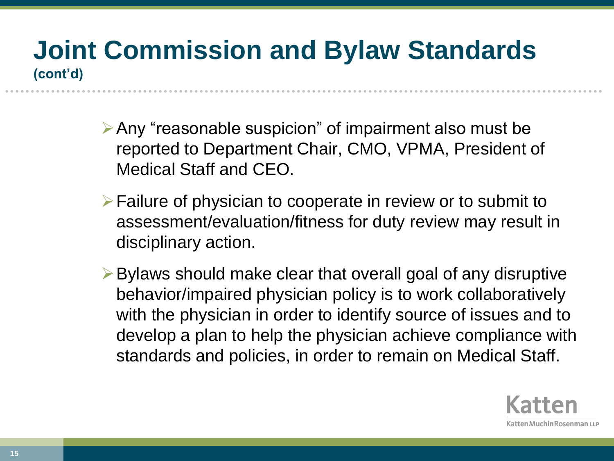#### **Joint Commission and Bylaw Standards (cont'd)**

- $\triangleright$  Any "reasonable suspicion" of impairment also must be reported to Department Chair, CMO, VPMA, President of Medical Staff and CEO.
- $\triangleright$  Failure of physician to cooperate in review or to submit to assessment/evaluation/fitness for duty review may result in disciplinary action.
- $\triangleright$  Bylaws should make clear that overall goal of any disruptive behavior/impaired physician policy is to work collaboratively with the physician in order to identify source of issues and to develop a plan to help the physician achieve compliance with standards and policies, in order to remain on Medical Staff.

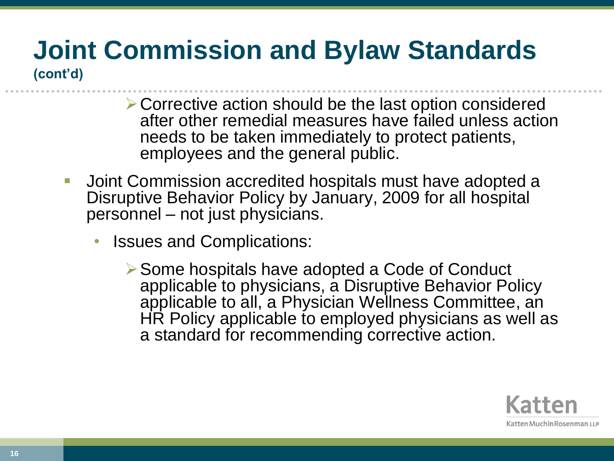# **Joint Commission and Bylaw Standards**

**(cont'd)**

- Corrective action should be the last option considered after other remedial measures have failed unless action needs to be taken immediately to protect patients, employees and the general public.
- **Joint Commission accredited hospitals must have adopted a** Disruptive Behavior Policy by January, 2009 for all hospital personnel – not just physicians.
	- Issues and Complications:
		- **► Some hospitals have adopted a Code of Conduct** applicable to physicians, a Disruptive Behavior Policy applicable to all, a Physician Wellness Committee, an HR Policy applicable to employed physicians as well as a standard for recommending corrective action.

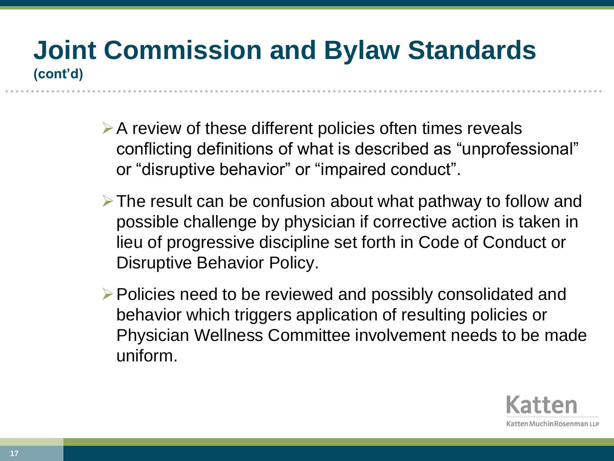#### **Joint Commission and Bylaw Standards (cont'd)**

- $\triangleright$  A review of these different policies often times reveals conflicting definitions of what is described as "unprofessional" or "disruptive behavior" or "impaired conduct".
- $\triangleright$  The result can be confusion about what pathway to follow and possible challenge by physician if corrective action is taken in lieu of progressive discipline set forth in Code of Conduct or Disruptive Behavior Policy.
- $\triangleright$  Policies need to be reviewed and possibly consolidated and behavior which triggers application of resulting policies or Physician Wellness Committee involvement needs to be made uniform.

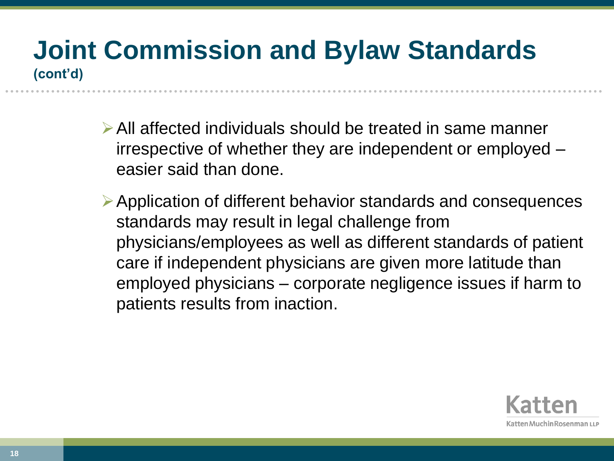#### **Joint Commission and Bylaw Standards (cont'd)**

- All affected individuals should be treated in same manner irrespective of whether they are independent or employed – easier said than done.
- Application of different behavior standards and consequences standards may result in legal challenge from physicians/employees as well as different standards of patient care if independent physicians are given more latitude than employed physicians – corporate negligence issues if harm to patients results from inaction.

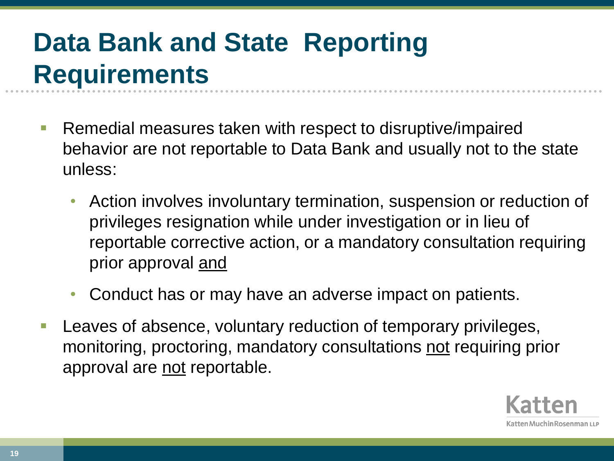## **Data Bank and State Reporting Requirements**

- Remedial measures taken with respect to disruptive/impaired behavior are not reportable to Data Bank and usually not to the state unless:
	- Action involves involuntary termination, suspension or reduction of privileges resignation while under investigation or in lieu of reportable corrective action, or a mandatory consultation requiring prior approval and
	- Conduct has or may have an adverse impact on patients.
- Leaves of absence, voluntary reduction of temporary privileges, monitoring, proctoring, mandatory consultations not requiring prior approval are not reportable.

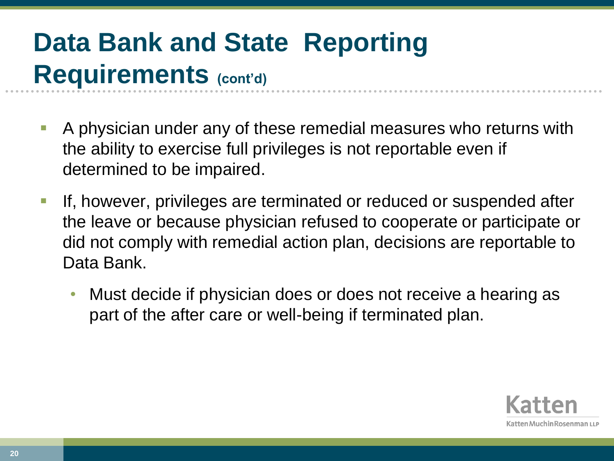## **Data Bank and State Reporting Requirements (cont'd)**

- A physician under any of these remedial measures who returns with the ability to exercise full privileges is not reportable even if determined to be impaired.
- **If, however, privileges are terminated or reduced or suspended after** the leave or because physician refused to cooperate or participate or did not comply with remedial action plan, decisions are reportable to Data Bank.
	- Must decide if physician does or does not receive a hearing as part of the after care or well-being if terminated plan.

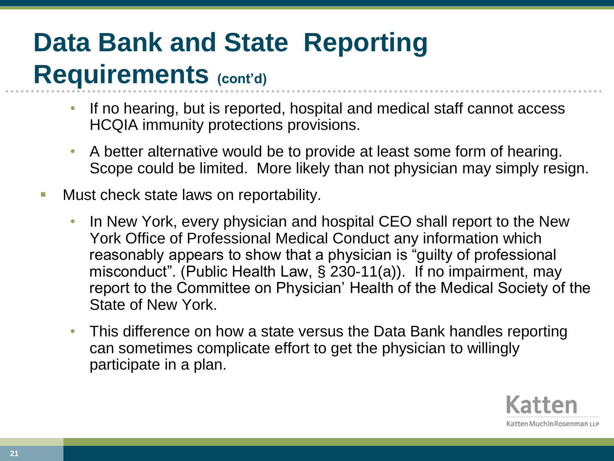## **Data Bank and State Reporting Requirements (cont'd)**

- If no hearing, but is reported, hospital and medical staff cannot access HCQIA immunity protections provisions.
- A better alternative would be to provide at least some form of hearing. Scope could be limited. More likely than not physician may simply resign.
- Must check state laws on reportability.
	- In New York, every physician and hospital CEO shall report to the New York Office of Professional Medical Conduct any information which reasonably appears to show that a physician is "guilty of professional misconduct". (Public Health Law, § 230-11(a)). If no impairment, may report to the Committee on Physician' Health of the Medical Society of the State of New York.
	- This difference on how a state versus the Data Bank handles reporting can sometimes complicate effort to get the physician to willingly participate in a plan.

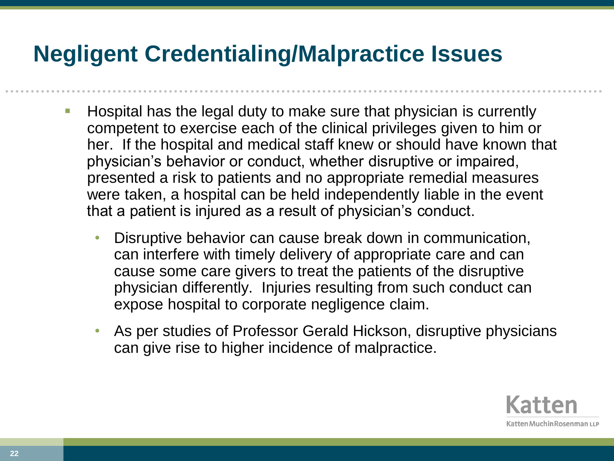#### **Negligent Credentialing/Malpractice Issues**

- Hospital has the legal duty to make sure that physician is currently competent to exercise each of the clinical privileges given to him or her. If the hospital and medical staff knew or should have known that physician's behavior or conduct, whether disruptive or impaired, presented a risk to patients and no appropriate remedial measures were taken, a hospital can be held independently liable in the event that a patient is injured as a result of physician's conduct.
	- Disruptive behavior can cause break down in communication, can interfere with timely delivery of appropriate care and can cause some care givers to treat the patients of the disruptive physician differently. Injuries resulting from such conduct can expose hospital to corporate negligence claim.
	- As per studies of Professor Gerald Hickson, disruptive physicians can give rise to higher incidence of malpractice.

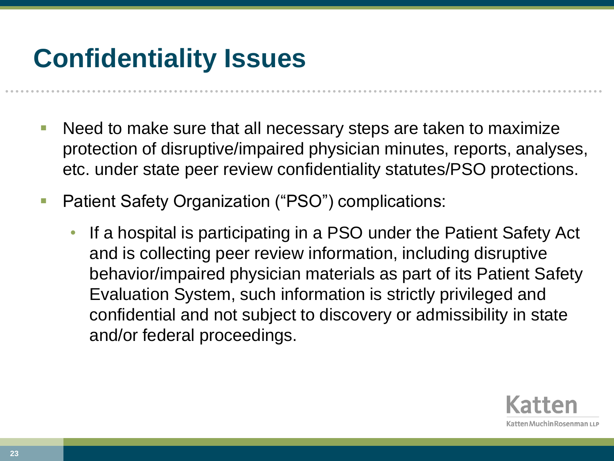## **Confidentiality Issues**

- Need to make sure that all necessary steps are taken to maximize protection of disruptive/impaired physician minutes, reports, analyses, etc. under state peer review confidentiality statutes/PSO protections.
- Patient Safety Organization ("PSO") complications:
	- If a hospital is participating in a PSO under the Patient Safety Act and is collecting peer review information, including disruptive behavior/impaired physician materials as part of its Patient Safety Evaluation System, such information is strictly privileged and confidential and not subject to discovery or admissibility in state and/or federal proceedings.

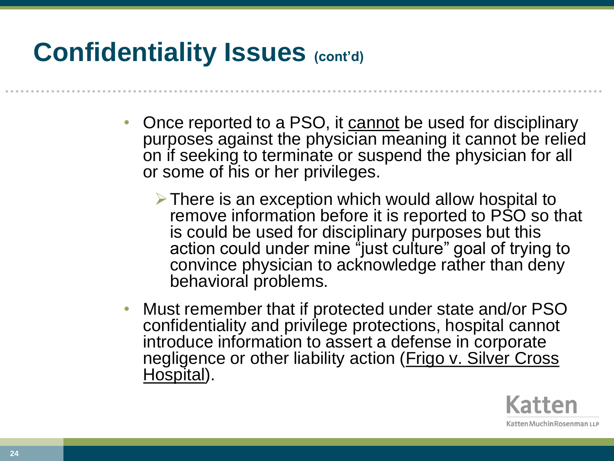### **Confidentiality Issues (cont'd)**

- Once reported to a PSO, it cannot be used for disciplinary purposes against the physician meaning it cannot be relied on if seeking to terminate or suspend the physician for all or some of his or her privileges.
	- $\triangleright$  There is an exception which would allow hospital to remove information before it is reported to PSO so that is could be used for disciplinary purposes but this action could under mine "just culture" goal of trying to convince physician to acknowledge rather than deny behavioral problems.
- Must remember that if protected under state and/or PSO confidentiality and privilege protections, hospital cannot introduce information to assert a defense in corporate negligence or other liability action (Frigo v. Silver Cross Hospital).

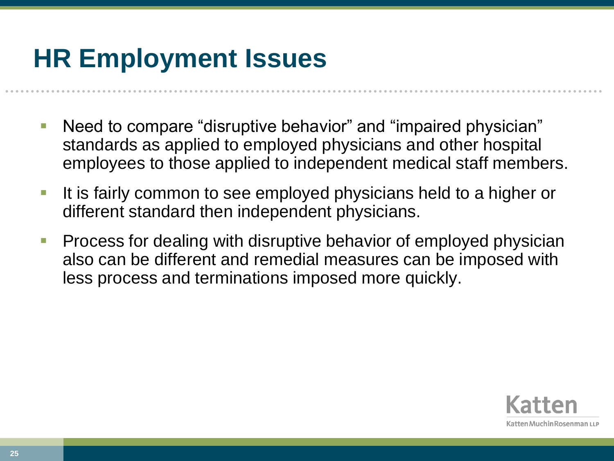## **HR Employment Issues**

- Need to compare "disruptive behavior" and "impaired physician" standards as applied to employed physicians and other hospital employees to those applied to independent medical staff members.
- It is fairly common to see employed physicians held to a higher or different standard then independent physicians.
- Process for dealing with disruptive behavior of employed physician also can be different and remedial measures can be imposed with less process and terminations imposed more quickly.

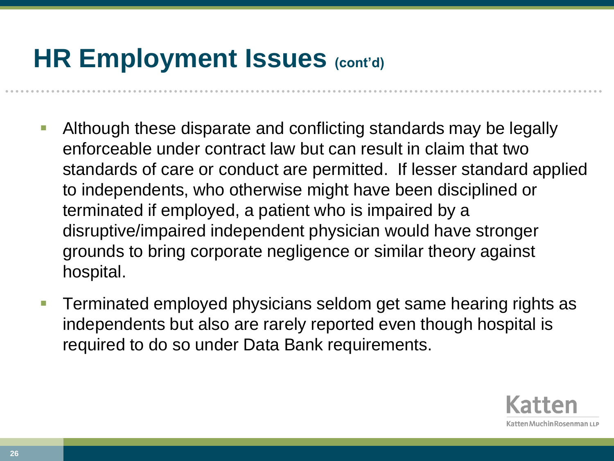### **HR Employment Issues (cont'd)**

- Although these disparate and conflicting standards may be legally enforceable under contract law but can result in claim that two standards of care or conduct are permitted. If lesser standard applied to independents, who otherwise might have been disciplined or terminated if employed, a patient who is impaired by a disruptive/impaired independent physician would have stronger grounds to bring corporate negligence or similar theory against hospital.
- Terminated employed physicians seldom get same hearing rights as independents but also are rarely reported even though hospital is required to do so under Data Bank requirements.

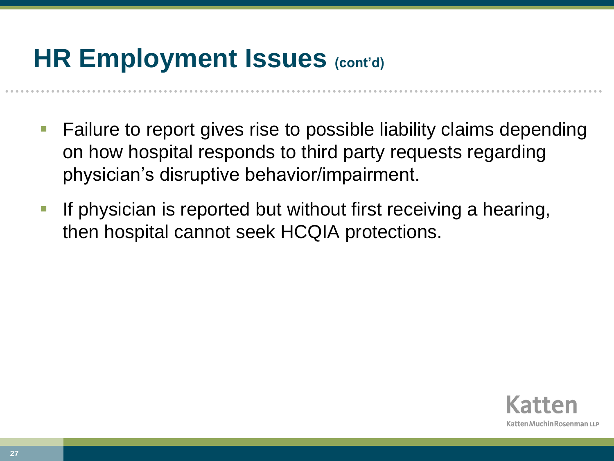### **HR Employment Issues (cont'd)**

- Failure to report gives rise to possible liability claims depending on how hospital responds to third party requests regarding physician's disruptive behavior/impairment.
- If physician is reported but without first receiving a hearing, then hospital cannot seek HCQIA protections.

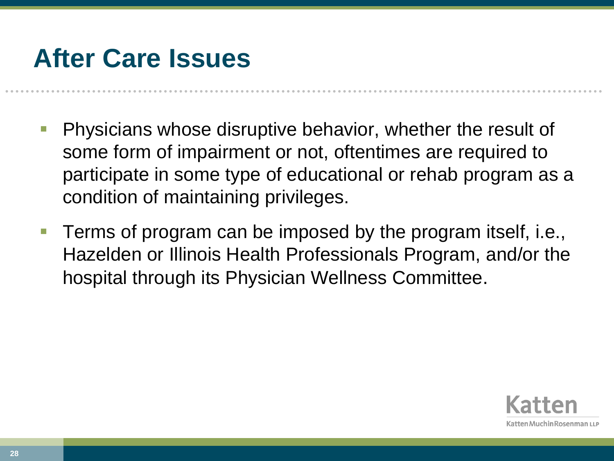### **After Care Issues**

- Physicians whose disruptive behavior, whether the result of some form of impairment or not, oftentimes are required to participate in some type of educational or rehab program as a condition of maintaining privileges.
- Terms of program can be imposed by the program itself, i.e., Hazelden or Illinois Health Professionals Program, and/or the hospital through its Physician Wellness Committee.

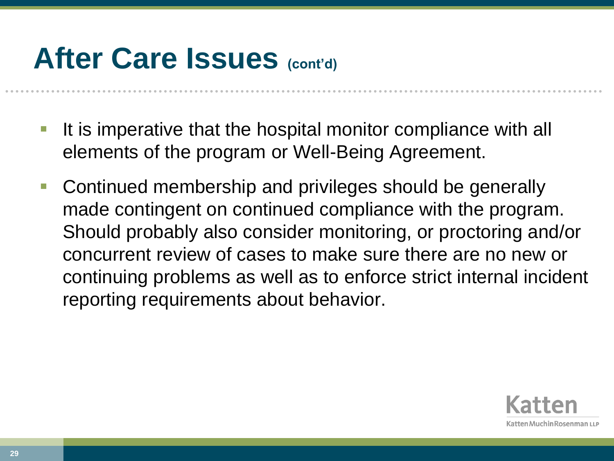# **After Care Issues (cont'd)**

- It is imperative that the hospital monitor compliance with all elements of the program or Well-Being Agreement.
- Continued membership and privileges should be generally made contingent on continued compliance with the program. Should probably also consider monitoring, or proctoring and/or concurrent review of cases to make sure there are no new or continuing problems as well as to enforce strict internal incident reporting requirements about behavior.

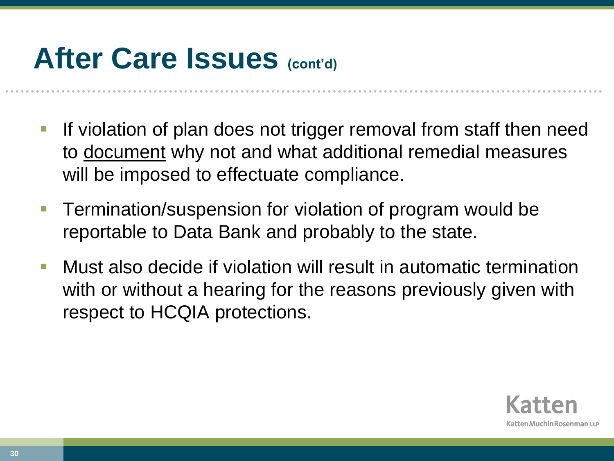# **After Care Issues (cont'd)**

- If violation of plan does not trigger removal from staff then need to document why not and what additional remedial measures will be imposed to effectuate compliance.
- Termination/suspension for violation of program would be reportable to Data Bank and probably to the state.
- Must also decide if violation will result in automatic termination with or without a hearing for the reasons previously given with respect to HCQIA protections.

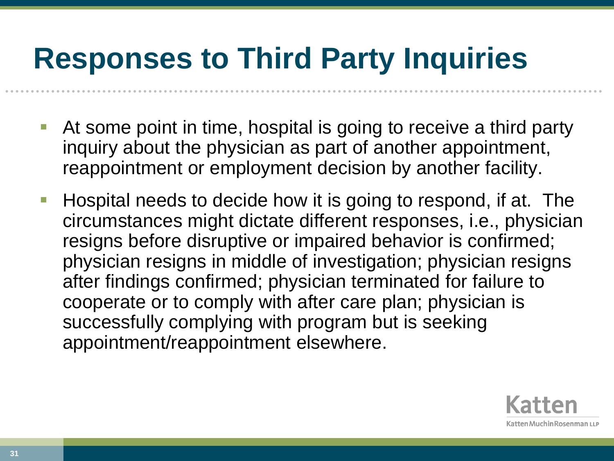# **Responses to Third Party Inquiries**

- At some point in time, hospital is going to receive a third party inquiry about the physician as part of another appointment, reappointment or employment decision by another facility.
- **Hospital needs to decide how it is going to respond, if at. The** circumstances might dictate different responses, i.e., physician resigns before disruptive or impaired behavior is confirmed; physician resigns in middle of investigation; physician resigns after findings confirmed; physician terminated for failure to cooperate or to comply with after care plan; physician is successfully complying with program but is seeking appointment/reappointment elsewhere.

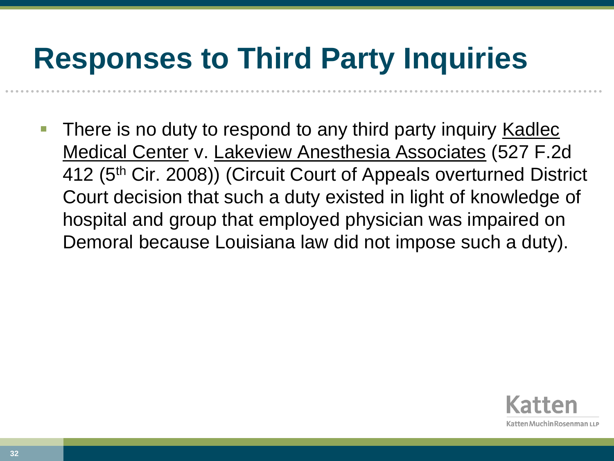# **Responses to Third Party Inquiries**

 There is no duty to respond to any third party inquiry Kadlec Medical Center v. Lakeview Anesthesia Associates (527 F.2d 412 (5th Cir. 2008)) (Circuit Court of Appeals overturned District Court decision that such a duty existed in light of knowledge of hospital and group that employed physician was impaired on Demoral because Louisiana law did not impose such a duty).

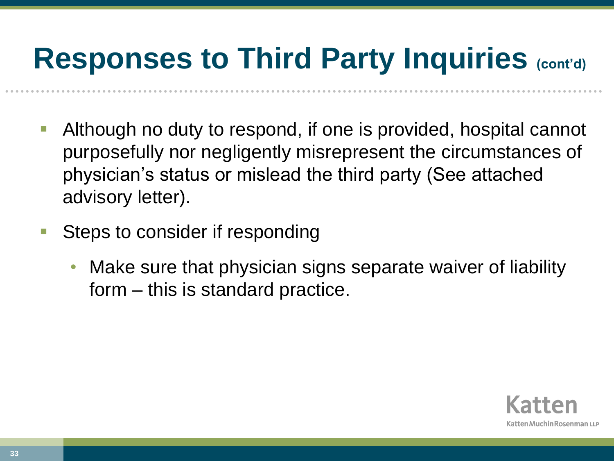# **Responses to Third Party Inquiries (cont'd)**

- Although no duty to respond, if one is provided, hospital cannot purposefully nor negligently misrepresent the circumstances of physician's status or mislead the third party (See attached advisory letter).
- Steps to consider if responding
	- Make sure that physician signs separate waiver of liability form – this is standard practice.

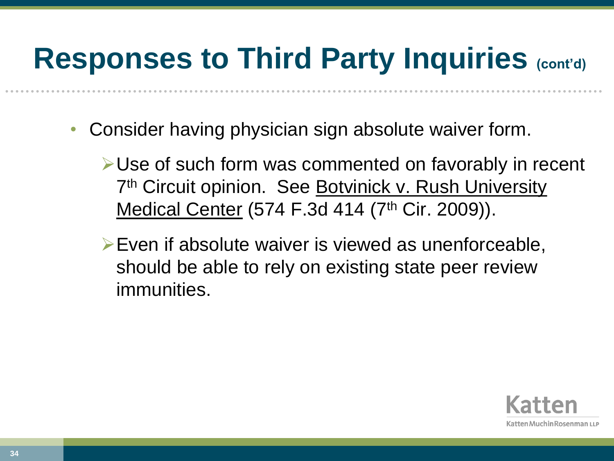# **Responses to Third Party Inquiries (cont'd)**

- Consider having physician sign absolute waiver form.
	- Use of such form was commented on favorably in recent 7<sup>th</sup> Circuit opinion. See Botvinick v. Rush University Medical Center (574 F.3d 414 (7<sup>th</sup> Cir. 2009)).
	- $\triangleright$  Even if absolute waiver is viewed as unenforceable, should be able to rely on existing state peer review immunities.

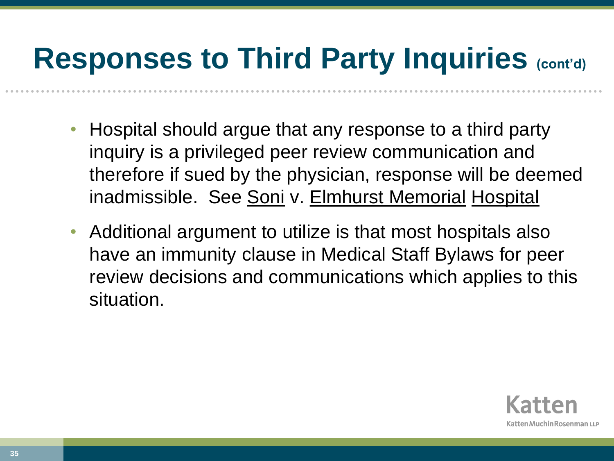# **Responses to Third Party Inquiries (cont'd)**

- Hospital should argue that any response to a third party inquiry is a privileged peer review communication and therefore if sued by the physician, response will be deemed inadmissible. See Soni v. Elmhurst Memorial Hospital
- Additional argument to utilize is that most hospitals also have an immunity clause in Medical Staff Bylaws for peer review decisions and communications which applies to this situation.

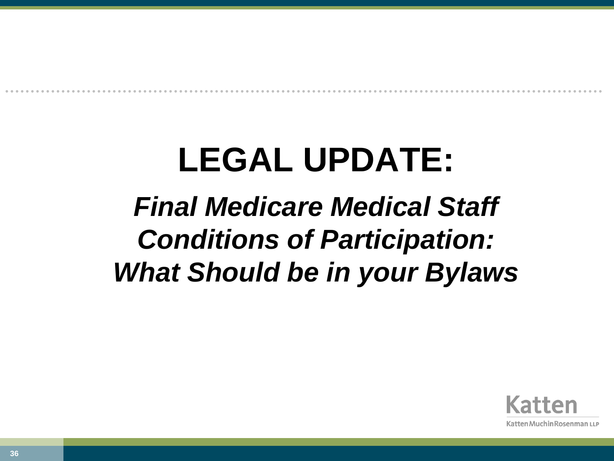# **LEGAL UPDATE:**

## *Final Medicare Medical Staff Conditions of Participation: What Should be in your Bylaws*

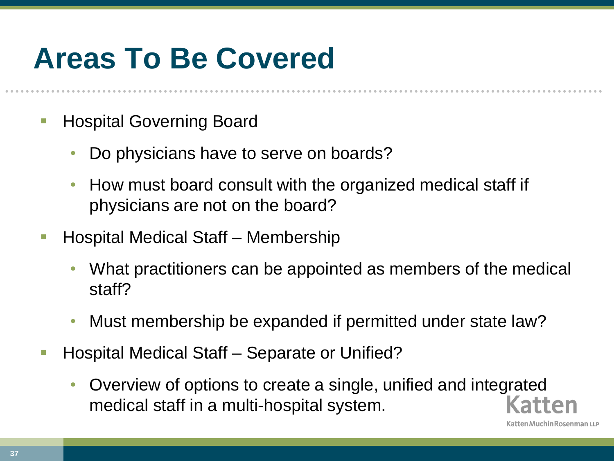#### **Areas To Be Covered**

- Hospital Governing Board
	- Do physicians have to serve on boards?
	- How must board consult with the organized medical staff if physicians are not on the board?
- Hospital Medical Staff Membership
	- What practitioners can be appointed as members of the medical staff?
	- Must membership be expanded if permitted under state law?
- Hospital Medical Staff Separate or Unified?
	- Overview of options to create a single, unified and integrated medical staff in a multi-hospital system.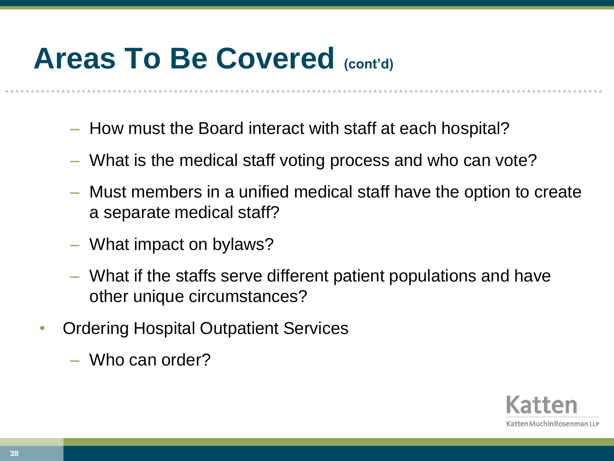#### **Areas To Be Covered (cont'd)**

- How must the Board interact with staff at each hospital?
- What is the medical staff voting process and who can vote?
- Must members in a unified medical staff have the option to create a separate medical staff?
- What impact on bylaws?
- What if the staffs serve different patient populations and have other unique circumstances?
- Ordering Hospital Outpatient Services
	- Who can order?

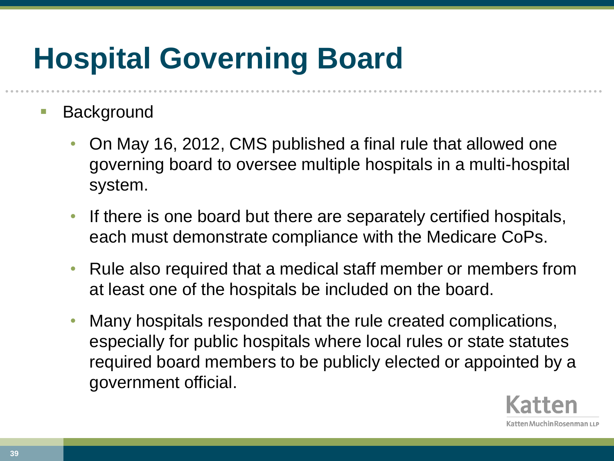# **Hospital Governing Board**

#### **Background**

- On May 16, 2012, CMS published a final rule that allowed one governing board to oversee multiple hospitals in a multi-hospital system.
- If there is one board but there are separately certified hospitals, each must demonstrate compliance with the Medicare CoPs.
- Rule also required that a medical staff member or members from at least one of the hospitals be included on the board.
- Many hospitals responded that the rule created complications, especially for public hospitals where local rules or state statutes required board members to be publicly elected or appointed by a government official.

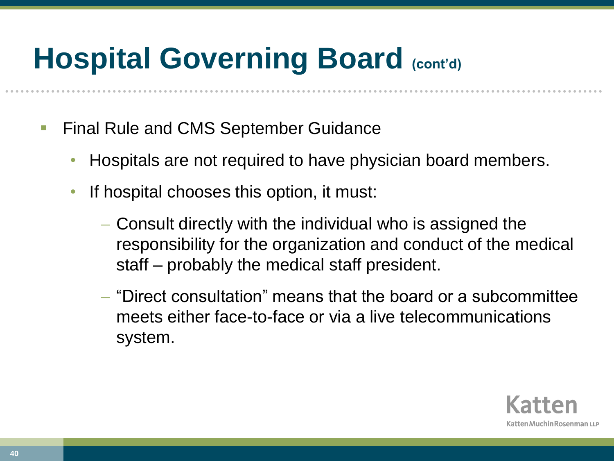- **Final Rule and CMS September Guidance** 
	- Hospitals are not required to have physician board members.
	- If hospital chooses this option, it must:
		- Consult directly with the individual who is assigned the responsibility for the organization and conduct of the medical staff – probably the medical staff president.
		- "Direct consultation" means that the board or a subcommittee meets either face-to-face or via a live telecommunications system.

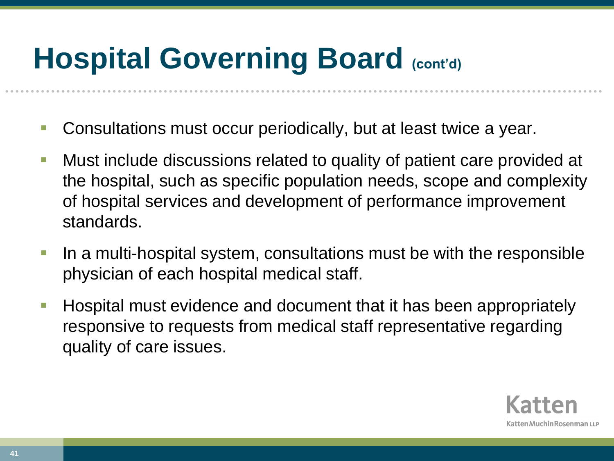- Consultations must occur periodically, but at least twice a year.
- Must include discussions related to quality of patient care provided at the hospital, such as specific population needs, scope and complexity of hospital services and development of performance improvement standards.
- **If a multi-hospital system, consultations must be with the responsible** physician of each hospital medical staff.
- **Hospital must evidence and document that it has been appropriately** responsive to requests from medical staff representative regarding quality of care issues.

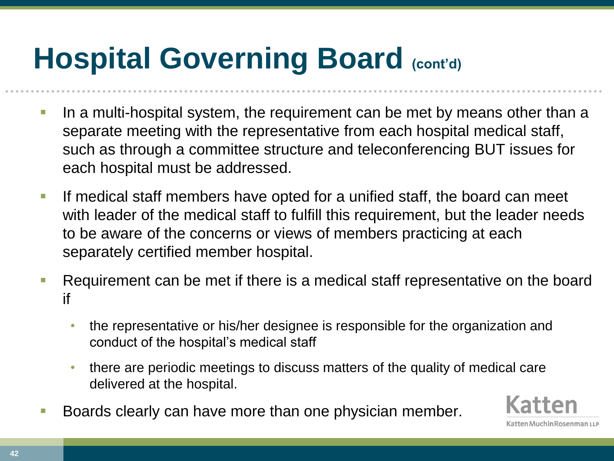- In a multi-hospital system, the requirement can be met by means other than a separate meeting with the representative from each hospital medical staff, such as through a committee structure and teleconferencing BUT issues for each hospital must be addressed.
- If medical staff members have opted for a unified staff, the board can meet with leader of the medical staff to fulfill this requirement, but the leader needs to be aware of the concerns or views of members practicing at each separately certified member hospital.
- Requirement can be met if there is a medical staff representative on the board if
	- the representative or his/her designee is responsible for the organization and conduct of the hospital's medical staff
	- there are periodic meetings to discuss matters of the quality of medical care delivered at the hospital.
- Boards clearly can have more than one physician member.

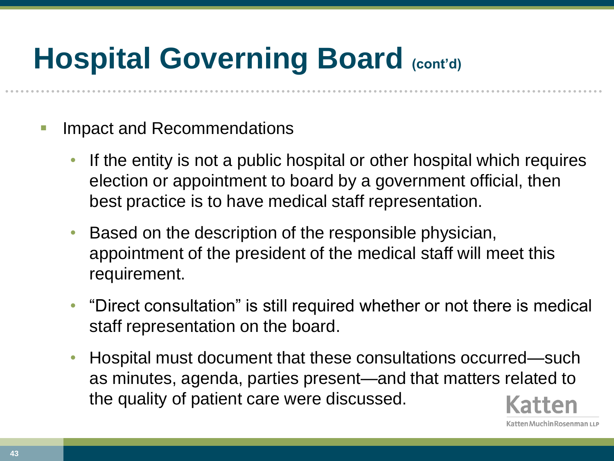- Impact and Recommendations
	- If the entity is not a public hospital or other hospital which requires election or appointment to board by a government official, then best practice is to have medical staff representation.
	- Based on the description of the responsible physician, appointment of the president of the medical staff will meet this requirement.
	- "Direct consultation" is still required whether or not there is medical staff representation on the board.
	- Hospital must document that these consultations occurred—such as minutes, agenda, parties present—and that matters related to the quality of patient care were discussed.

atten Muchin Rosenman ۱۱ ۱

**43**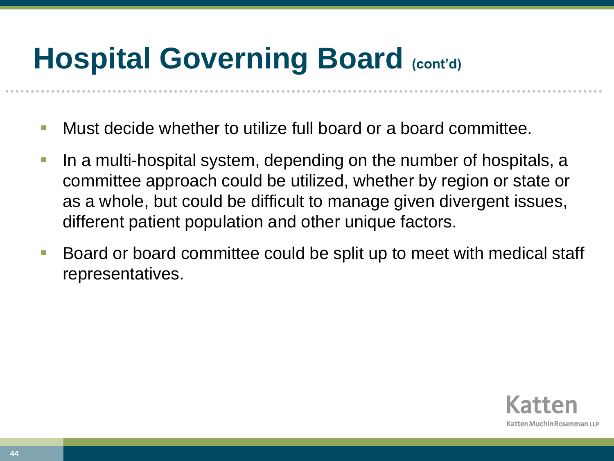- Must decide whether to utilize full board or a board committee.
- In a multi-hospital system, depending on the number of hospitals, a committee approach could be utilized, whether by region or state or as a whole, but could be difficult to manage given divergent issues, different patient population and other unique factors.
- Board or board committee could be split up to meet with medical staff representatives.

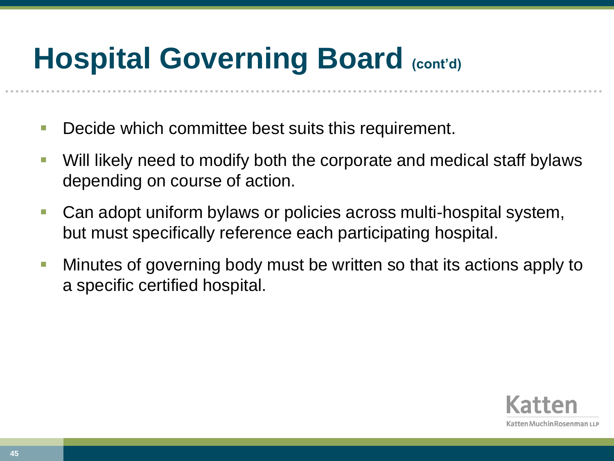- **Decide which committee best suits this requirement.**
- Will likely need to modify both the corporate and medical staff bylaws depending on course of action.
- Can adopt uniform bylaws or policies across multi-hospital system, but must specifically reference each participating hospital.
- **Minutes of governing body must be written so that its actions apply to** a specific certified hospital.

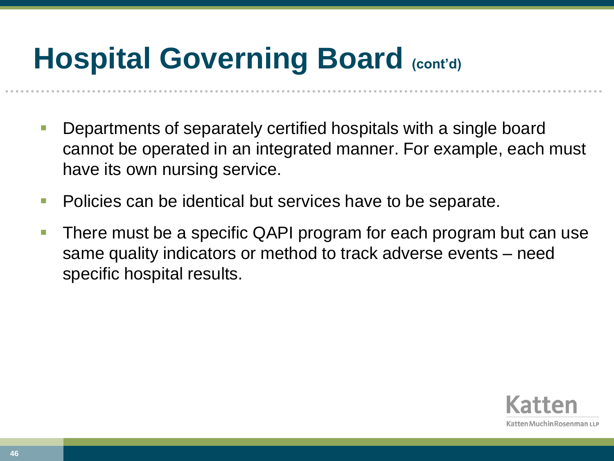- Departments of separately certified hospitals with a single board cannot be operated in an integrated manner. For example, each must have its own nursing service.
- **Policies can be identical but services have to be separate.**
- There must be a specific QAPI program for each program but can use same quality indicators or method to track adverse events – need specific hospital results.

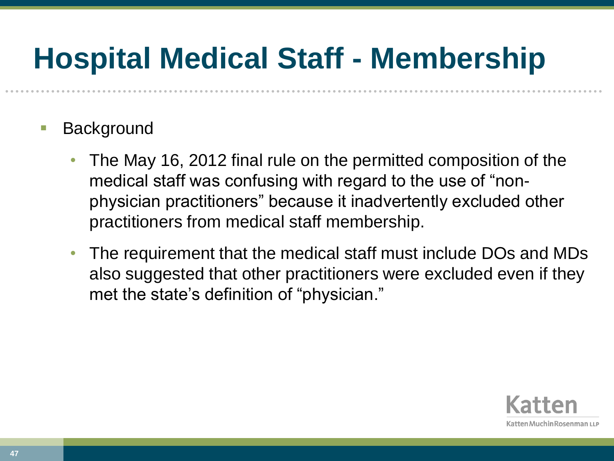### **Hospital Medical Staff - Membership**

- Background
	- The May 16, 2012 final rule on the permitted composition of the medical staff was confusing with regard to the use of "nonphysician practitioners" because it inadvertently excluded other practitioners from medical staff membership.
	- The requirement that the medical staff must include DOs and MDs also suggested that other practitioners were excluded even if they met the state's definition of "physician."

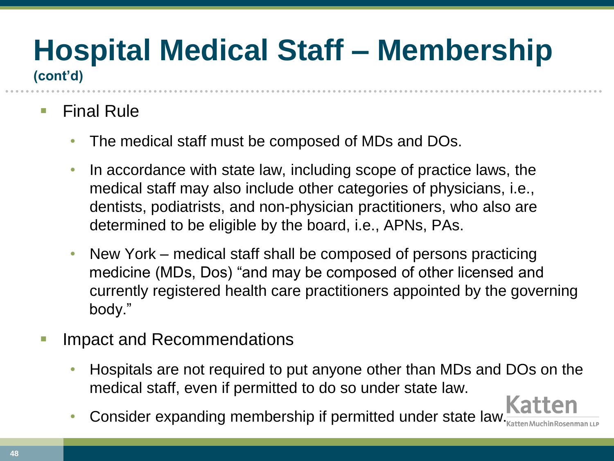# **Hospital Medical Staff – Membership**

**(cont'd)**

- Final Rule
	- The medical staff must be composed of MDs and DOs.
	- In accordance with state law, including scope of practice laws, the medical staff may also include other categories of physicians, i.e., dentists, podiatrists, and non-physician practitioners, who also are determined to be eligible by the board, i.e., APNs, PAs.
	- New York medical staff shall be composed of persons practicing medicine (MDs, Dos) "and may be composed of other licensed and currently registered health care practitioners appointed by the governing body."
- Impact and Recommendations
	- Hospitals are not required to put anyone other than MDs and DOs on the medical staff, even if permitted to do so under state law.
	- Consider expanding membership if permitted under state law.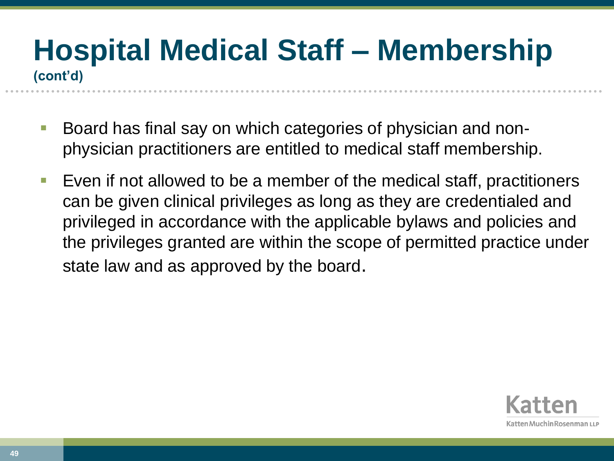#### **Hospital Medical Staff – Membership (cont'd)**

- Board has final say on which categories of physician and nonphysician practitioners are entitled to medical staff membership.
- **Exen if not allowed to be a member of the medical staff, practitioners** can be given clinical privileges as long as they are credentialed and privileged in accordance with the applicable bylaws and policies and the privileges granted are within the scope of permitted practice under state law and as approved by the board.

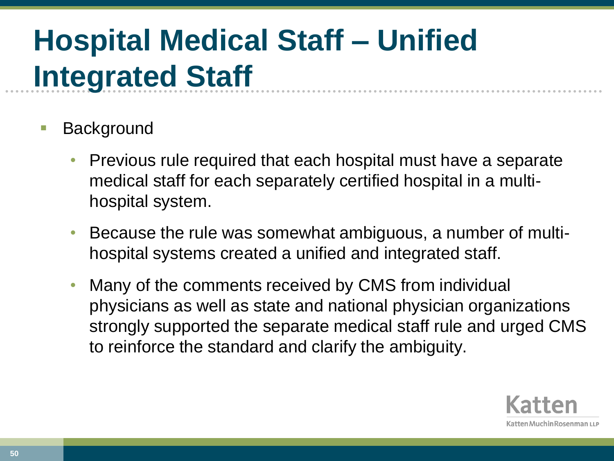- Background
	- Previous rule required that each hospital must have a separate medical staff for each separately certified hospital in a multihospital system.
	- Because the rule was somewhat ambiguous, a number of multihospital systems created a unified and integrated staff.
	- Many of the comments received by CMS from individual physicians as well as state and national physician organizations strongly supported the separate medical staff rule and urged CMS to reinforce the standard and clarify the ambiguity.

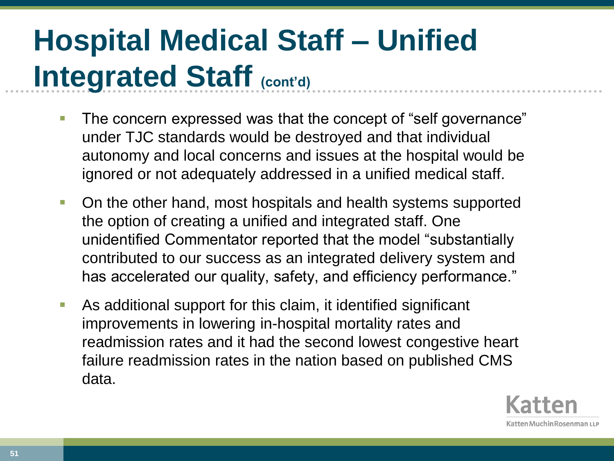- The concern expressed was that the concept of "self governance" under TJC standards would be destroyed and that individual autonomy and local concerns and issues at the hospital would be ignored or not adequately addressed in a unified medical staff.
- **On the other hand, most hospitals and health systems supported** the option of creating a unified and integrated staff. One unidentified Commentator reported that the model "substantially contributed to our success as an integrated delivery system and has accelerated our quality, safety, and efficiency performance."
- As additional support for this claim, it identified significant improvements in lowering in-hospital mortality rates and readmission rates and it had the second lowest congestive heart failure readmission rates in the nation based on published CMS data.

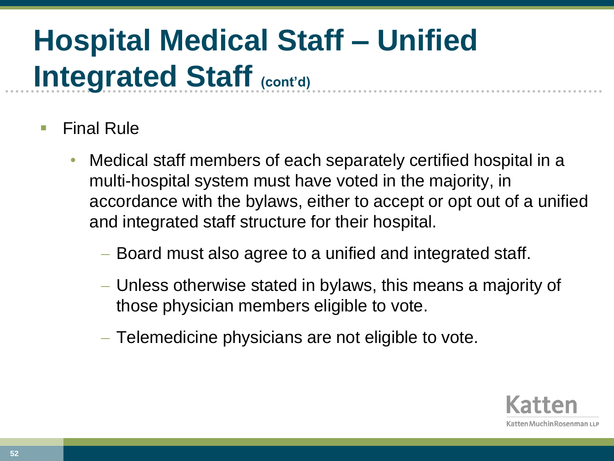- Final Rule
	- Medical staff members of each separately certified hospital in a multi-hospital system must have voted in the majority, in accordance with the bylaws, either to accept or opt out of a unified and integrated staff structure for their hospital.
		- Board must also agree to a unified and integrated staff.
		- Unless otherwise stated in bylaws, this means a majority of those physician members eligible to vote.
		- Telemedicine physicians are not eligible to vote.

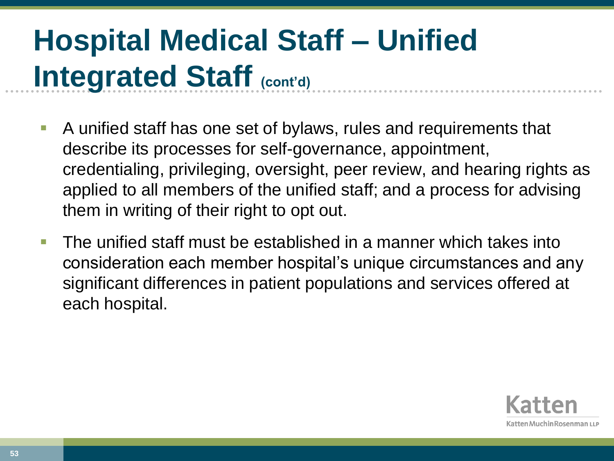- A unified staff has one set of bylaws, rules and requirements that describe its processes for self-governance, appointment, credentialing, privileging, oversight, peer review, and hearing rights as applied to all members of the unified staff; and a process for advising them in writing of their right to opt out.
- The unified staff must be established in a manner which takes into consideration each member hospital's unique circumstances and any significant differences in patient populations and services offered at each hospital.

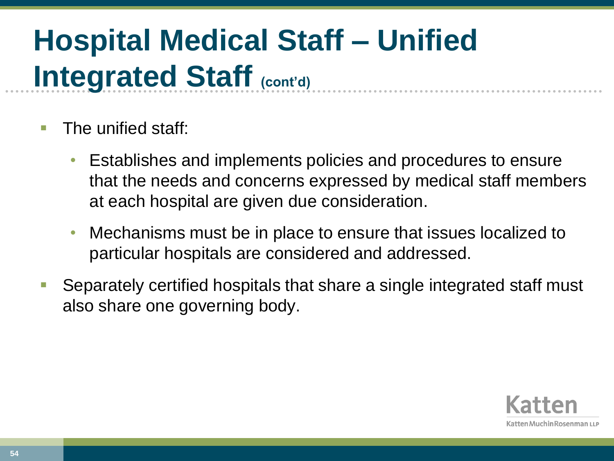- The unified staff:
	- Establishes and implements policies and procedures to ensure that the needs and concerns expressed by medical staff members at each hospital are given due consideration.
	- Mechanisms must be in place to ensure that issues localized to particular hospitals are considered and addressed.
- Separately certified hospitals that share a single integrated staff must also share one governing body.

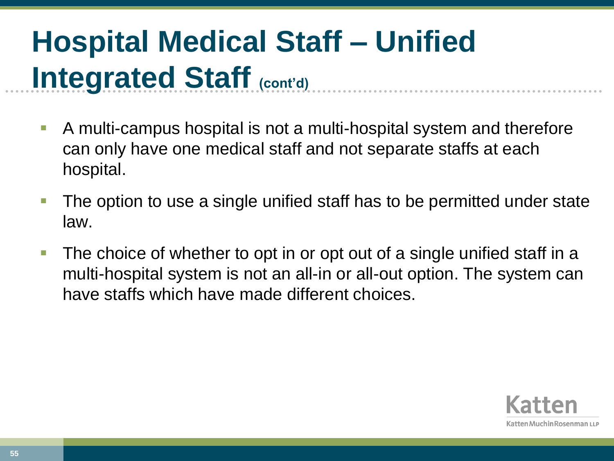- A multi-campus hospital is not a multi-hospital system and therefore can only have one medical staff and not separate staffs at each hospital.
- **The option to use a single unified staff has to be permitted under state** law.
- The choice of whether to opt in or opt out of a single unified staff in a multi-hospital system is not an all-in or all-out option. The system can have staffs which have made different choices.

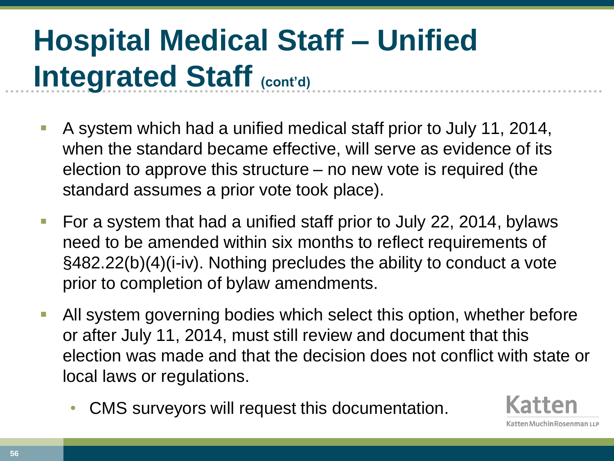- A system which had a unified medical staff prior to July 11, 2014, when the standard became effective, will serve as evidence of its election to approve this structure – no new vote is required (the standard assumes a prior vote took place).
- For a system that had a unified staff prior to July 22, 2014, bylaws need to be amended within six months to reflect requirements of §482.22(b)(4)(i-iv). Nothing precludes the ability to conduct a vote prior to completion of bylaw amendments.
- All system governing bodies which select this option, whether before or after July 11, 2014, must still review and document that this election was made and that the decision does not conflict with state or local laws or regulations.
	- CMS surveyors will request this documentation.

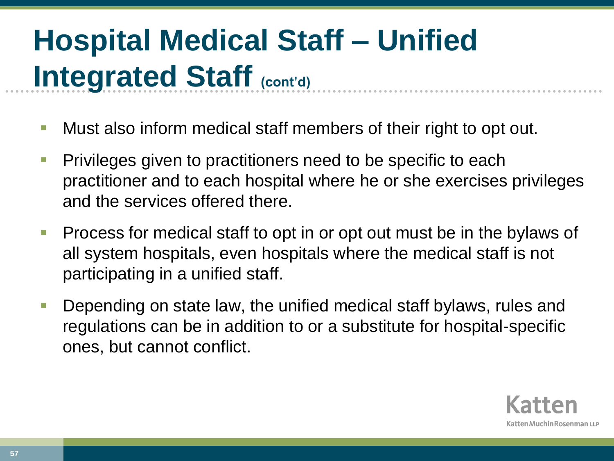- Must also inform medical staff members of their right to opt out.
- Privileges given to practitioners need to be specific to each practitioner and to each hospital where he or she exercises privileges and the services offered there.
- **Process for medical staff to opt in or opt out must be in the bylaws of** all system hospitals, even hospitals where the medical staff is not participating in a unified staff.
- **Depending on state law, the unified medical staff bylaws, rules and** regulations can be in addition to or a substitute for hospital-specific ones, but cannot conflict.

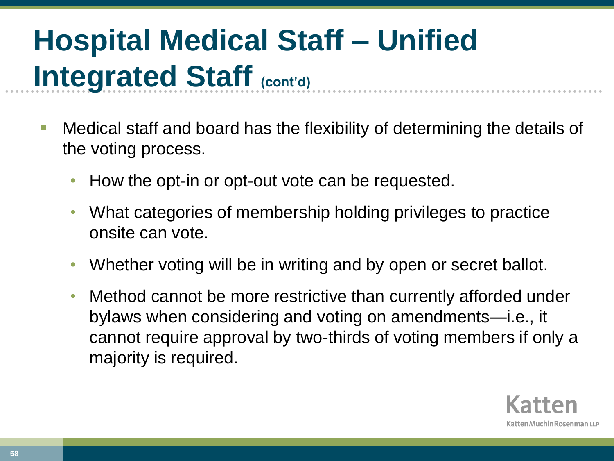- Medical staff and board has the flexibility of determining the details of the voting process.
	- How the opt-in or opt-out vote can be requested.
	- What categories of membership holding privileges to practice onsite can vote.
	- Whether voting will be in writing and by open or secret ballot.
	- Method cannot be more restrictive than currently afforded under bylaws when considering and voting on amendments—i.e., it cannot require approval by two-thirds of voting members if only a majority is required.

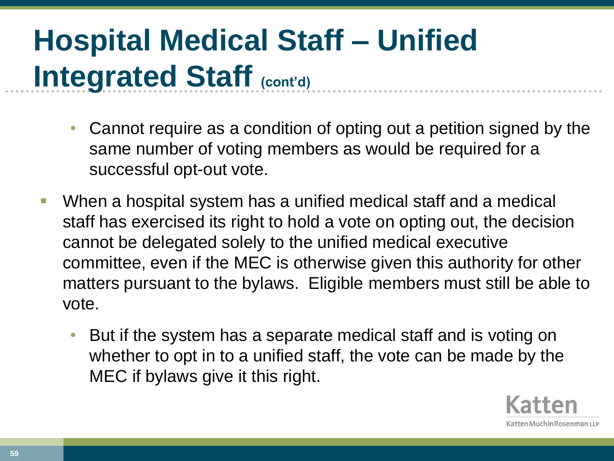- Cannot require as a condition of opting out a petition signed by the same number of voting members as would be required for a successful opt-out vote.
- When a hospital system has a unified medical staff and a medical staff has exercised its right to hold a vote on opting out, the decision cannot be delegated solely to the unified medical executive committee, even if the MEC is otherwise given this authority for other matters pursuant to the bylaws. Eligible members must still be able to vote.
	- But if the system has a separate medical staff and is voting on whether to opt in to a unified staff, the vote can be made by the MEC if bylaws give it this right.

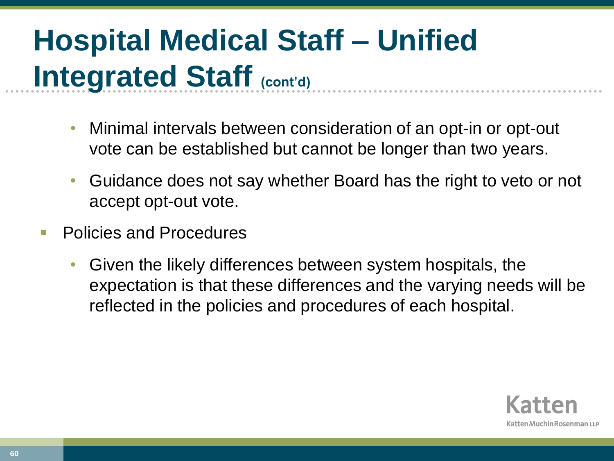- Minimal intervals between consideration of an opt-in or opt-out vote can be established but cannot be longer than two years.
- Guidance does not say whether Board has the right to veto or not accept opt-out vote.
- Policies and Procedures
	- Given the likely differences between system hospitals, the expectation is that these differences and the varying needs will be reflected in the policies and procedures of each hospital.

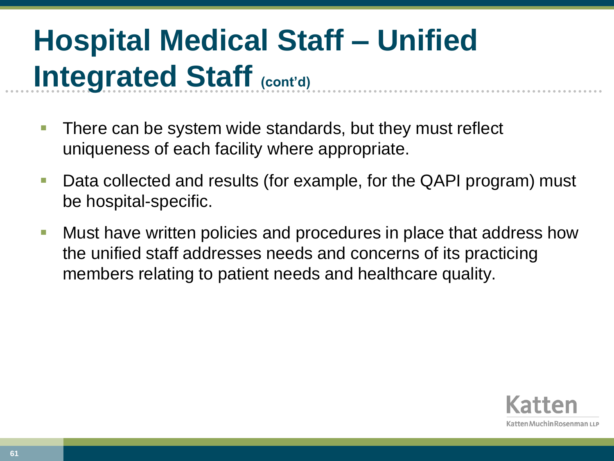- There can be system wide standards, but they must reflect uniqueness of each facility where appropriate.
- **Data collected and results (for example, for the QAPI program) must** be hospital-specific.
- **Nust have written policies and procedures in place that address how** the unified staff addresses needs and concerns of its practicing members relating to patient needs and healthcare quality.

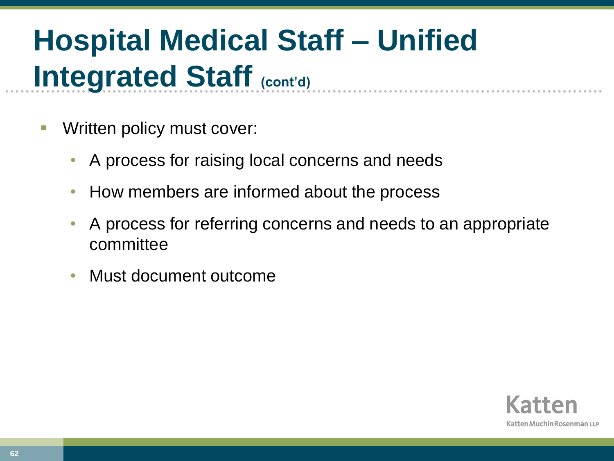- Written policy must cover:
	- A process for raising local concerns and needs
	- How members are informed about the process
	- A process for referring concerns and needs to an appropriate committee
	- Must document outcome

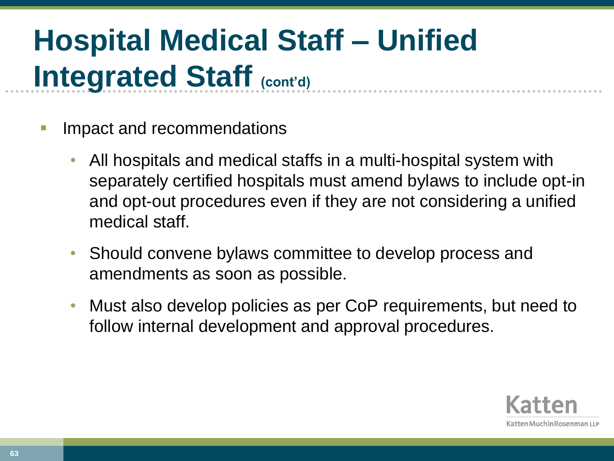- Impact and recommendations
	- All hospitals and medical staffs in a multi-hospital system with separately certified hospitals must amend bylaws to include opt-in and opt-out procedures even if they are not considering a unified medical staff.
	- Should convene bylaws committee to develop process and amendments as soon as possible.
	- Must also develop policies as per CoP requirements, but need to follow internal development and approval procedures.

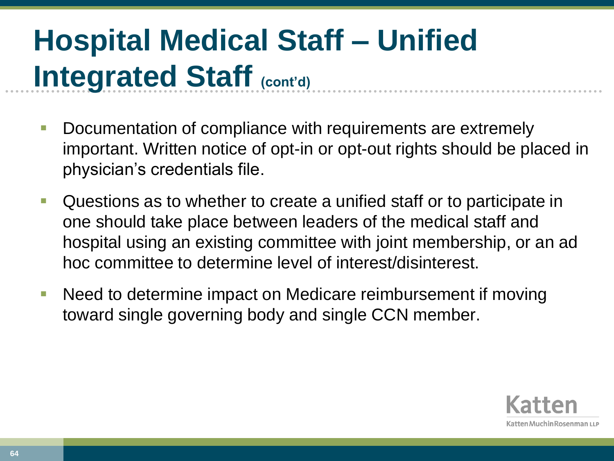- Documentation of compliance with requirements are extremely important. Written notice of opt-in or opt-out rights should be placed in physician's credentials file.
- **Questions as to whether to create a unified staff or to participate in** one should take place between leaders of the medical staff and hospital using an existing committee with joint membership, or an ad hoc committee to determine level of interest/disinterest.
- Need to determine impact on Medicare reimbursement if moving toward single governing body and single CCN member.

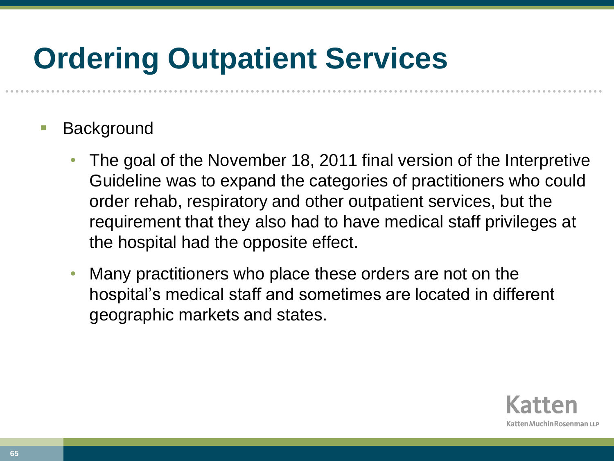### **Ordering Outpatient Services**

- Background
	- The goal of the November 18, 2011 final version of the Interpretive Guideline was to expand the categories of practitioners who could order rehab, respiratory and other outpatient services, but the requirement that they also had to have medical staff privileges at the hospital had the opposite effect.
	- Many practitioners who place these orders are not on the hospital's medical staff and sometimes are located in different geographic markets and states.

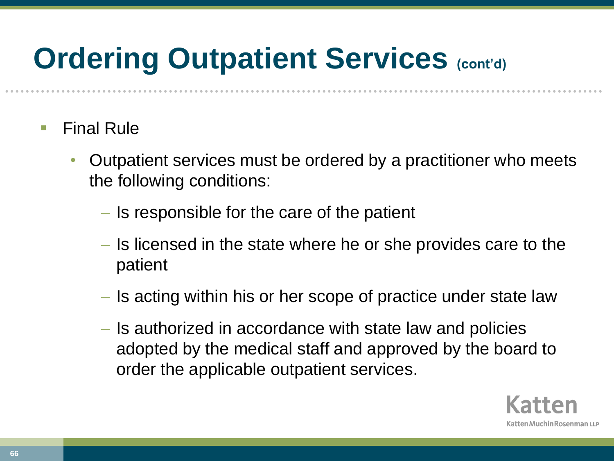### **Ordering Outpatient Services (cont'd)**

- Final Rule
	- Outpatient services must be ordered by a practitioner who meets the following conditions:
		- $\overline{\phantom{a}}$  Is responsible for the care of the patient
		- Is licensed in the state where he or she provides care to the patient
		- Is acting within his or her scope of practice under state law
		- Is authorized in accordance with state law and policies adopted by the medical staff and approved by the board to order the applicable outpatient services.

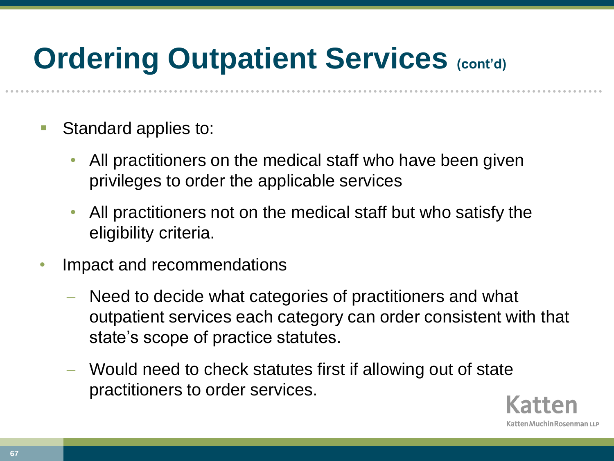### **Ordering Outpatient Services (cont'd)**

- Standard applies to:
	- All practitioners on the medical staff who have been given privileges to order the applicable services
	- All practitioners not on the medical staff but who satisfy the eligibility criteria.
- Impact and recommendations
	- Need to decide what categories of practitioners and what outpatient services each category can order consistent with that state's scope of practice statutes.
	- Would need to check statutes first if allowing out of state practitioners to order services.

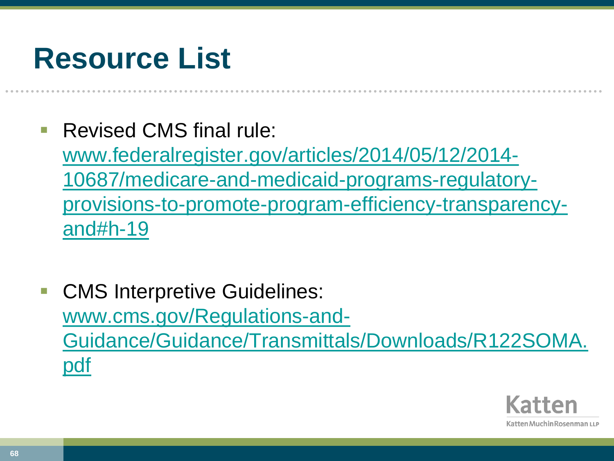#### **Resource List**

Revised CMS final rule:

[www.federalregister.gov/articles/2014/05/12/2014-](http://www.federalregister.gov/articles/2014/05/12/2014-10687/medicare-and-medicaid-programs-regulatory-provisions-to-promote-program-efficiency-transparency-and) [10687/medicare-and-medicaid-programs-regulatory](http://www.federalregister.gov/articles/2014/05/12/2014-10687/medicare-and-medicaid-programs-regulatory-provisions-to-promote-program-efficiency-transparency-and)[provisions-to-promote-program-efficiency-transparency](http://www.federalregister.gov/articles/2014/05/12/2014-10687/medicare-and-medicaid-programs-regulatory-provisions-to-promote-program-efficiency-transparency-and)[and#h-19](http://www.federalregister.gov/articles/2014/05/12/2014-10687/medicare-and-medicaid-programs-regulatory-provisions-to-promote-program-efficiency-transparency-and)

 CMS Interpretive Guidelines: [www.cms.gov/Regulations-and-](https://www.cms.gov/Regulations-and-Guidance/Guidance/Transmittals/Downloads/R122SOMA.pdf)[Guidance/Guidance/Transmittals/Downloads/R122SOMA.](https://www.cms.gov/Regulations-and-Guidance/Guidance/Transmittals/Downloads/R122SOMA.pdf) [pdf](https://www.cms.gov/Regulations-and-Guidance/Guidance/Transmittals/Downloads/R122SOMA.pdf)

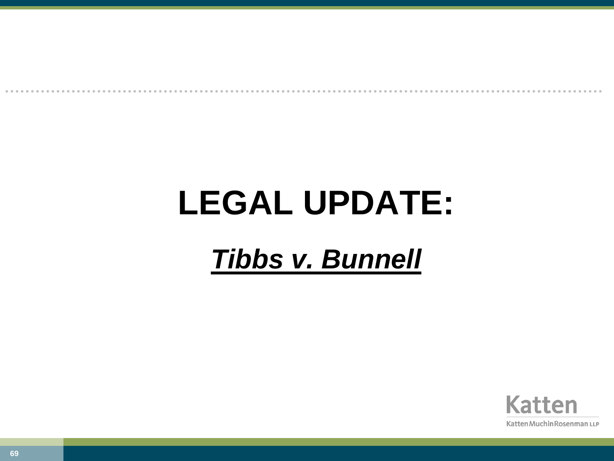# **LEGAL UPDATE:**

#### *Tibbs v. Bunnell*

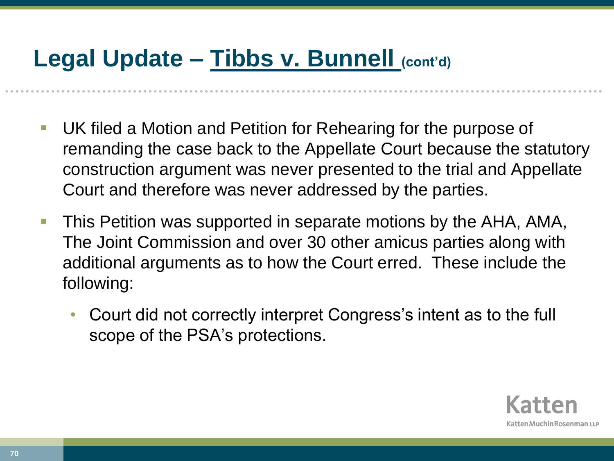#### **Legal Update – Tibbs v. Bunnell (cont'd)**

- UK filed a Motion and Petition for Rehearing for the purpose of remanding the case back to the Appellate Court because the statutory construction argument was never presented to the trial and Appellate Court and therefore was never addressed by the parties.
- This Petition was supported in separate motions by the AHA, AMA, The Joint Commission and over 30 other amicus parties along with additional arguments as to how the Court erred. These include the following:
	- Court did not correctly interpret Congress's intent as to the full scope of the PSA's protections.

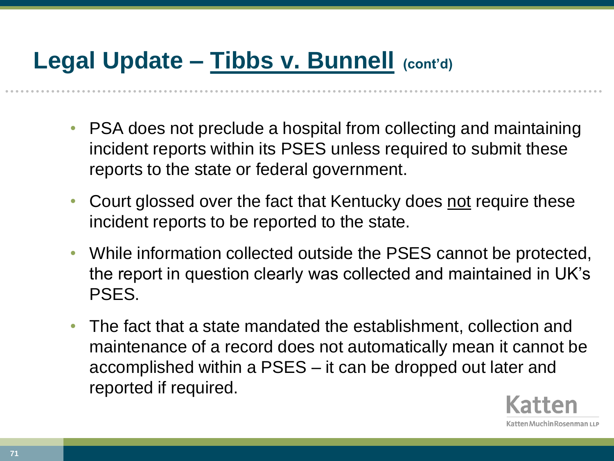#### **Legal Update – Tibbs v. Bunnell (cont'd)**

- PSA does not preclude a hospital from collecting and maintaining incident reports within its PSES unless required to submit these reports to the state or federal government.
- Court glossed over the fact that Kentucky does not require these incident reports to be reported to the state.
- While information collected outside the PSES cannot be protected, the report in question clearly was collected and maintained in UK's PSES.
- The fact that a state mandated the establishment, collection and maintenance of a record does not automatically mean it cannot be accomplished within a PSES – it can be dropped out later and reported if required.

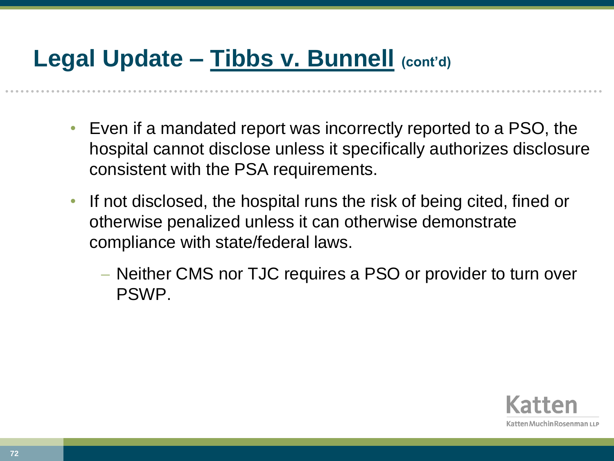#### **Legal Update – Tibbs v. Bunnell (cont'd)**

- Even if a mandated report was incorrectly reported to a PSO, the hospital cannot disclose unless it specifically authorizes disclosure consistent with the PSA requirements.
- If not disclosed, the hospital runs the risk of being cited, fined or otherwise penalized unless it can otherwise demonstrate compliance with state/federal laws.
	- Neither CMS nor TJC requires a PSO or provider to turn over PSWP.

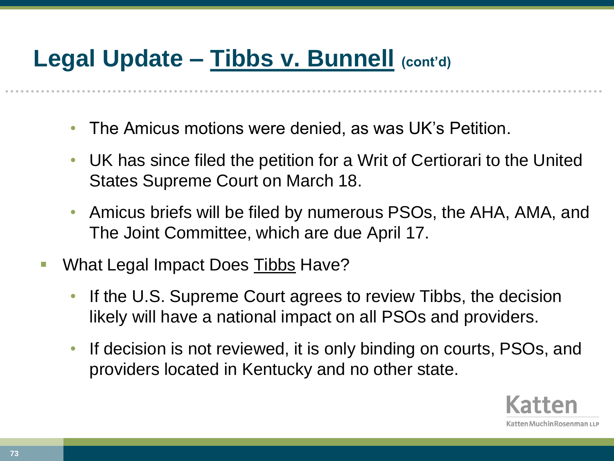- The Amicus motions were denied, as was UK's Petition.
- UK has since filed the petition for a Writ of Certiorari to the United States Supreme Court on March 18.
- Amicus briefs will be filed by numerous PSOs, the AHA, AMA, and The Joint Committee, which are due April 17.
- What Legal Impact Does Tibbs Have?
	- If the U.S. Supreme Court agrees to review Tibbs, the decision likely will have a national impact on all PSOs and providers.
	- If decision is not reviewed, it is only binding on courts, PSOs, and providers located in Kentucky and no other state.

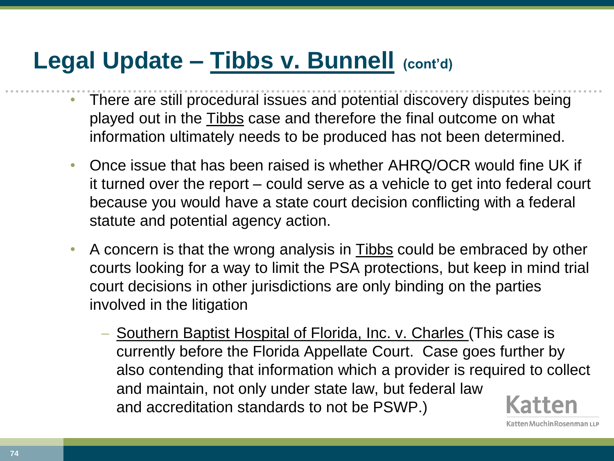- There are still procedural issues and potential discovery disputes being played out in the Tibbs case and therefore the final outcome on what information ultimately needs to be produced has not been determined.
- Once issue that has been raised is whether AHRQ/OCR would fine UK if it turned over the report – could serve as a vehicle to get into federal court because you would have a state court decision conflicting with a federal statute and potential agency action.
- A concern is that the wrong analysis in Tibbs could be embraced by other courts looking for a way to limit the PSA protections, but keep in mind trial court decisions in other jurisdictions are only binding on the parties involved in the litigation
	- Southern Baptist Hospital of Florida, Inc. v. Charles (This case is currently before the Florida Appellate Court. Case goes further by also contending that information which a provider is required to collect and maintain, not only under state law, but federal law and accreditation standards to not be PSWP.)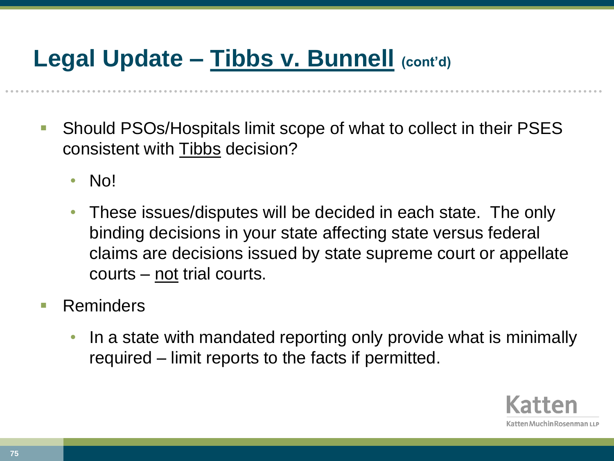- Should PSOs/Hospitals limit scope of what to collect in their PSES consistent with Tibbs decision?
	- No!
	- These issues/disputes will be decided in each state. The only binding decisions in your state affecting state versus federal claims are decisions issued by state supreme court or appellate courts – not trial courts.
- **Reminders** 
	- In a state with mandated reporting only provide what is minimally required – limit reports to the facts if permitted.

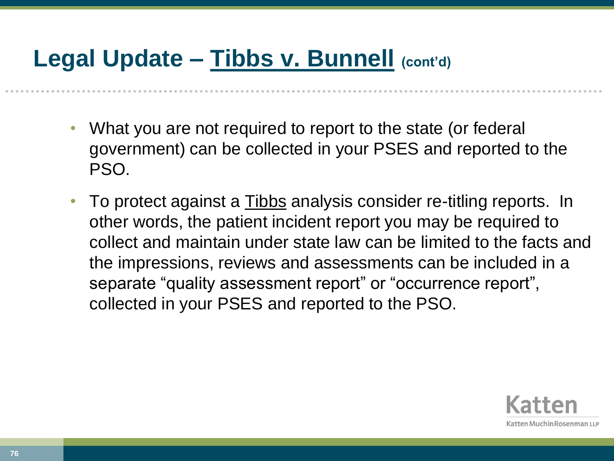- What you are not required to report to the state (or federal government) can be collected in your PSES and reported to the PSO.
- To protect against a Tibbs analysis consider re-titling reports. In other words, the patient incident report you may be required to collect and maintain under state law can be limited to the facts and the impressions, reviews and assessments can be included in a separate "quality assessment report" or "occurrence report", collected in your PSES and reported to the PSO.

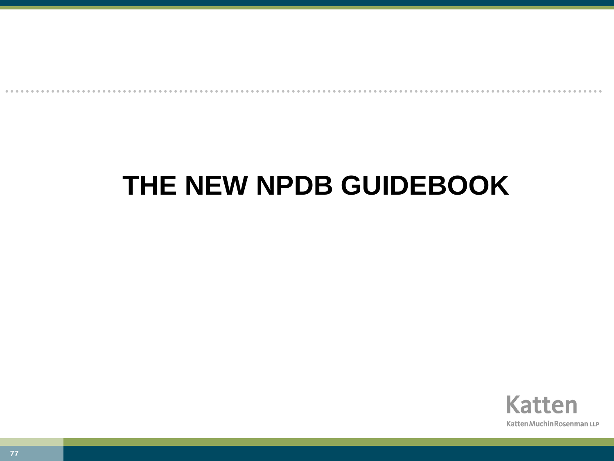#### **THE NEW NPDB GUIDEBOOK**

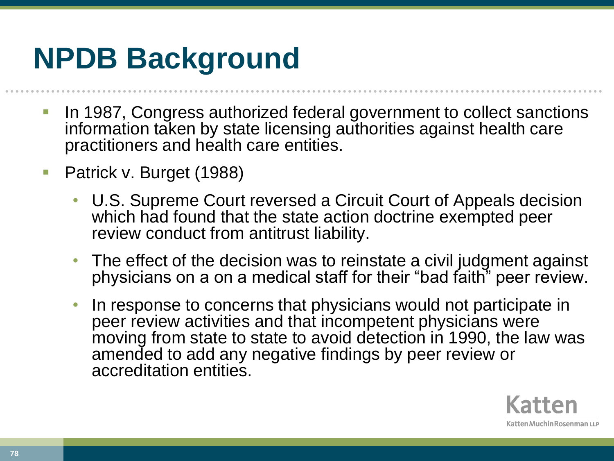# **NPDB Background**

- **In 1987, Congress authorized federal government to collect sanctions** information taken by state licensing authorities against health care practitioners and health care entities.
- Patrick v. Burget (1988)
	- U.S. Supreme Court reversed a Circuit Court of Appeals decision which had found that the state action doctrine exempted peer review conduct from antitrust liability.
	- The effect of the decision was to reinstate a civil judgment against physicians on a on a medical staff for their "bad faith" peer review.
	- In response to concerns that physicians would not participate in peer review activities and that incompetent physicians were moving from state to state to avoid detection in 1990, the law was amended to add any negative findings by peer review or accreditation entities.

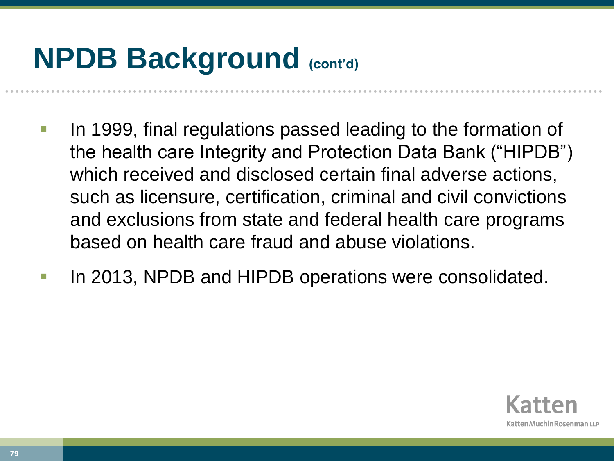# **NPDB Background (cont'd)**

- In 1999, final regulations passed leading to the formation of the health care Integrity and Protection Data Bank ("HIPDB") which received and disclosed certain final adverse actions, such as licensure, certification, criminal and civil convictions and exclusions from state and federal health care programs based on health care fraud and abuse violations.
- In 2013, NPDB and HIPDB operations were consolidated.

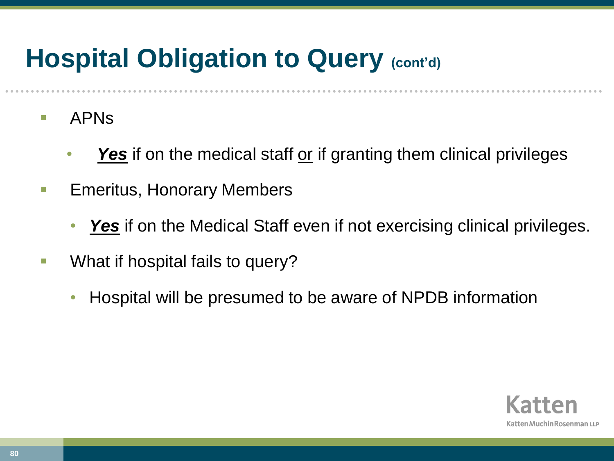#### **Hospital Obligation to Query (cont'd)**

- **APNS** 
	- **Yes** if on the medical staff or if granting them clinical privileges
- **Emeritus, Honorary Members** 
	- **Yes** if on the Medical Staff even if not exercising clinical privileges.
- What if hospital fails to query?
	- Hospital will be presumed to be aware of NPDB information

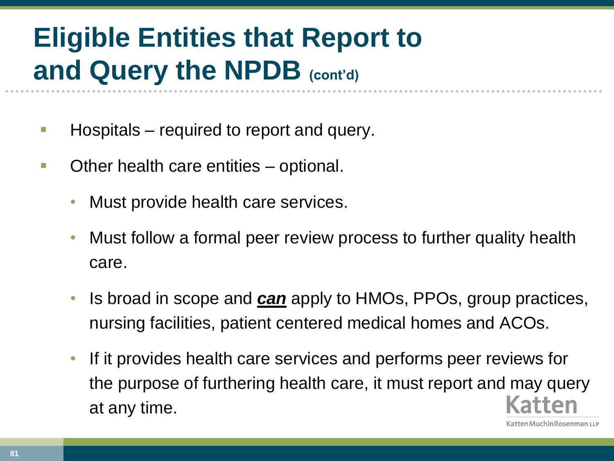### **Eligible Entities that Report to and Query the NPDB (cont'd)**

- **Hospitals** required to report and query.
- **Other health care entities optional.** 
	- Must provide health care services.
	- Must follow a formal peer review process to further quality health care.
	- Is broad in scope and *can* apply to HMOs, PPOs, group practices, nursing facilities, patient centered medical homes and ACOs.
	- If it provides health care services and performs peer reviews for the purpose of furthering health care, it must report and may query at any time.

ten Muchin Rosenman LLP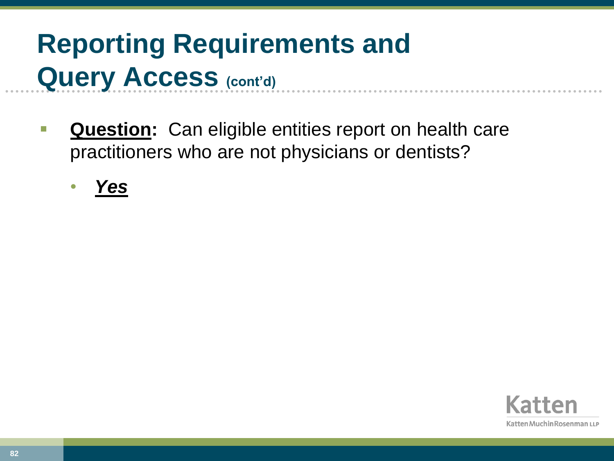### **Reporting Requirements and Query Access (cont'd)**

- **Question:** Can eligible entities report on health care practitioners who are not physicians or dentists?
	- *Yes*

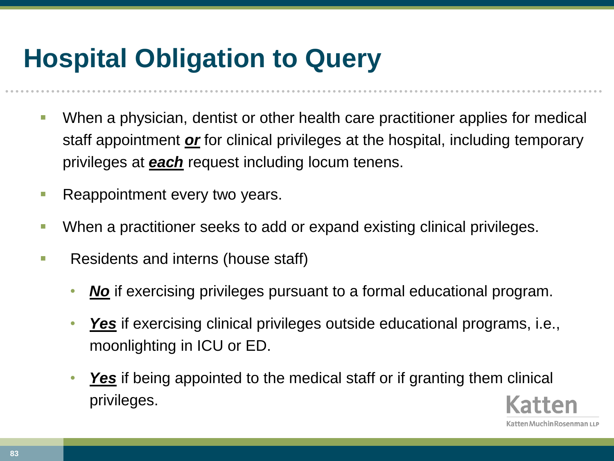#### **Hospital Obligation to Query**

- When a physician, dentist or other health care practitioner applies for medical staff appointment *or* for clinical privileges at the hospital, including temporary privileges at *each* request including locum tenens.
- Reappointment every two years.
- When a practitioner seeks to add or expand existing clinical privileges.
- **Residents and interns (house staff)** 
	- *No* if exercising privileges pursuant to a formal educational program.
	- *Yes* if exercising clinical privileges outside educational programs, i.e., moonlighting in ICU or ED.
	- *Yes* if being appointed to the medical staff or if granting them clinical privileges.

atten Muchin Rosenman ۱۱ ۱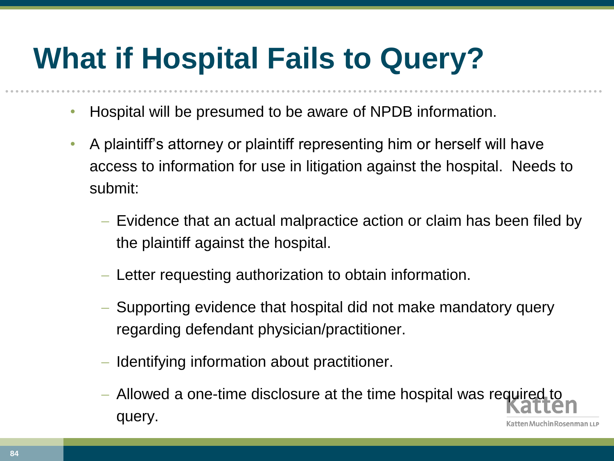# **What if Hospital Fails to Query?**

- Hospital will be presumed to be aware of NPDB information.
- A plaintiff's attorney or plaintiff representing him or herself will have access to information for use in litigation against the hospital. Needs to submit:
	- Evidence that an actual malpractice action or claim has been filed by the plaintiff against the hospital.
	- Letter requesting authorization to obtain information.
	- Supporting evidence that hospital did not make mandatory query regarding defendant physician/practitioner.
	- Identifying information about practitioner.
	- Allowed a one-time disclosure at the time hospital was required to query.atten Muchin Rosenman LLP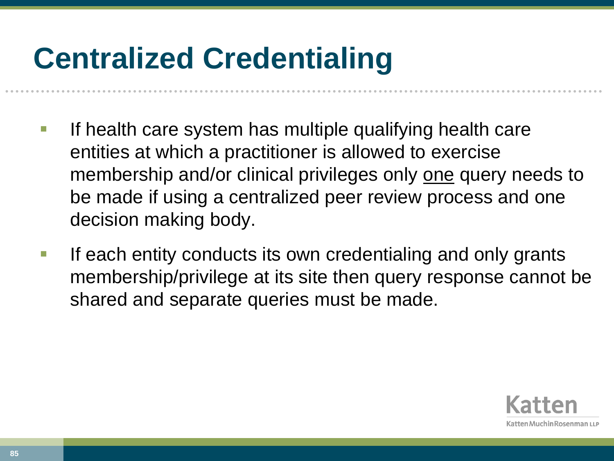# **Centralized Credentialing**

- If health care system has multiple qualifying health care entities at which a practitioner is allowed to exercise membership and/or clinical privileges only one query needs to be made if using a centralized peer review process and one decision making body.
- If each entity conducts its own credentialing and only grants membership/privilege at its site then query response cannot be shared and separate queries must be made.

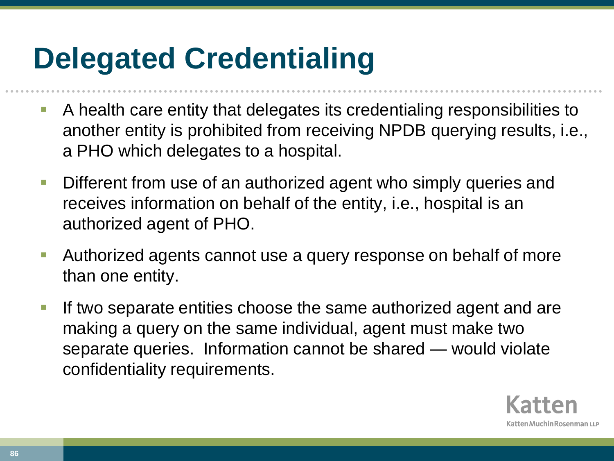# **Delegated Credentialing**

- A health care entity that delegates its credentialing responsibilities to another entity is prohibited from receiving NPDB querying results, i.e., a PHO which delegates to a hospital.
- **Different from use of an authorized agent who simply queries and** receives information on behalf of the entity, i.e., hospital is an authorized agent of PHO.
- Authorized agents cannot use a query response on behalf of more than one entity.
- **If two separate entities choose the same authorized agent and are** making a query on the same individual, agent must make two separate queries. Information cannot be shared — would violate confidentiality requirements.

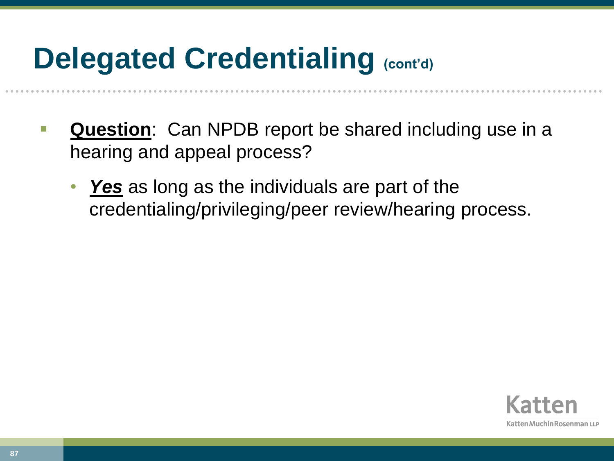## **Delegated Credentialing (cont'd)**

- **Question**: Can NPDB report be shared including use in a hearing and appeal process?
	- **Yes** as long as the individuals are part of the credentialing/privileging/peer review/hearing process.

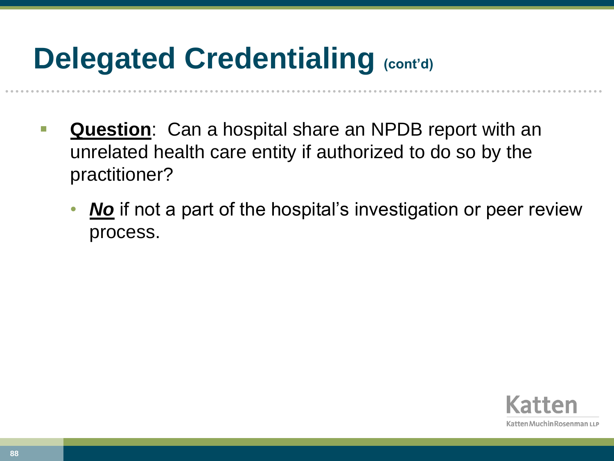## **Delegated Credentialing (cont'd)**

- **Question**: Can a hospital share an NPDB report with an unrelated health care entity if authorized to do so by the practitioner?
	- *No* if not a part of the hospital's investigation or peer review process.

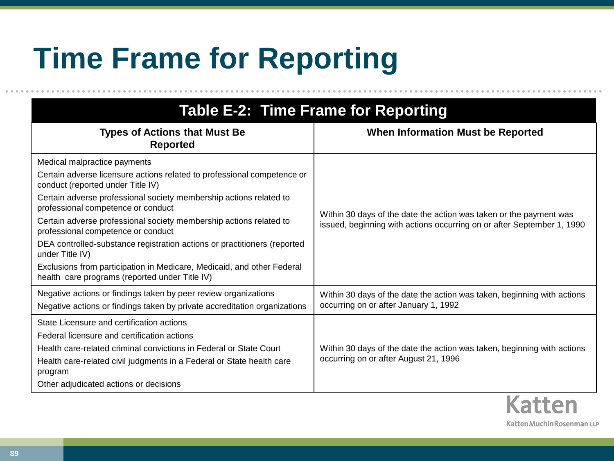# **Time Frame for Reporting**

| <b>Table E-2: Time Frame for Reporting</b>                                                                               |                                                                                                                                              |
|--------------------------------------------------------------------------------------------------------------------------|----------------------------------------------------------------------------------------------------------------------------------------------|
| <b>Types of Actions that Must Be</b><br><b>Reported</b>                                                                  | <b>When Information Must be Reported</b>                                                                                                     |
| Medical malpractice payments                                                                                             | Within 30 days of the date the action was taken or the payment was<br>issued, beginning with actions occurring on or after September 1, 1990 |
| Certain adverse licensure actions related to professional competence or<br>conduct (reported under Title IV)             |                                                                                                                                              |
| Certain adverse professional society membership actions related to<br>professional competence or conduct                 |                                                                                                                                              |
| Certain adverse professional society membership actions related to<br>professional competence or conduct                 |                                                                                                                                              |
| DEA controlled-substance registration actions or practitioners (reported<br>under Title IV)                              |                                                                                                                                              |
| Exclusions from participation in Medicare, Medicaid, and other Federal<br>health care programs (reported under Title IV) |                                                                                                                                              |
| Negative actions or findings taken by peer review organizations                                                          | Within 30 days of the date the action was taken, beginning with actions                                                                      |
| Negative actions or findings taken by private accreditation organizations                                                | occurring on or after January 1, 1992                                                                                                        |
| State Licensure and certification actions                                                                                |                                                                                                                                              |
| Federal licensure and certification actions                                                                              |                                                                                                                                              |
| Health care-related criminal convictions in Federal or State Court                                                       | Within 30 days of the date the action was taken, beginning with actions                                                                      |
| Health care-related civil judgments in a Federal or State health care<br>program                                         | occurring on or after August 21, 1996                                                                                                        |
| Other adjudicated actions or decisions                                                                                   |                                                                                                                                              |
|                                                                                                                          |                                                                                                                                              |

Katten Muchin Rosenman LLP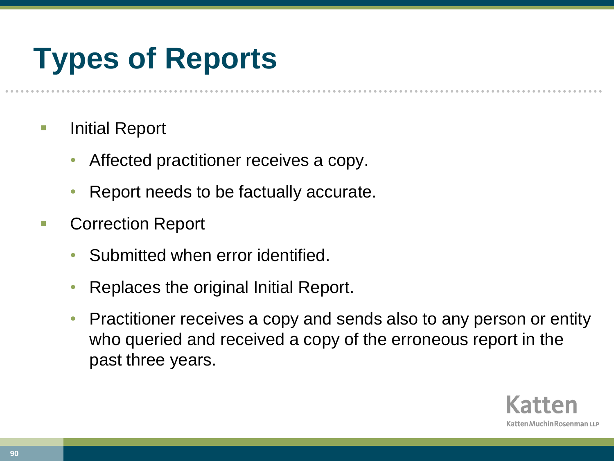# **Types of Reports**

- **E** Initial Report
	- Affected practitioner receives a copy.
	- Report needs to be factually accurate.
- Correction Report
	- Submitted when error identified.
	- Replaces the original Initial Report.
	- Practitioner receives a copy and sends also to any person or entity who queried and received a copy of the erroneous report in the past three years.

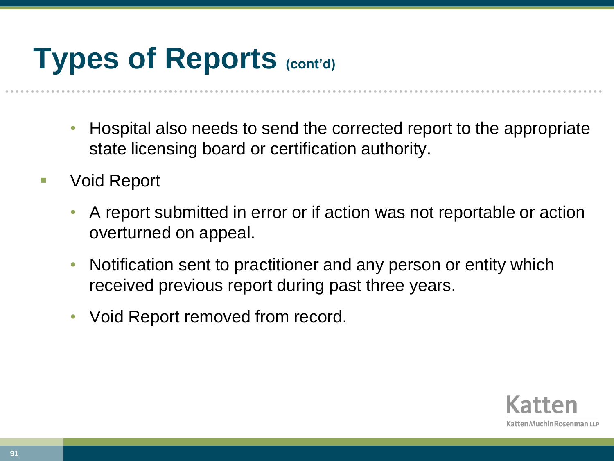# **Types of Reports (cont'd)**

- Hospital also needs to send the corrected report to the appropriate state licensing board or certification authority.
- Void Report
	- A report submitted in error or if action was not reportable or action overturned on appeal.
	- Notification sent to practitioner and any person or entity which received previous report during past three years.
	- Void Report removed from record.

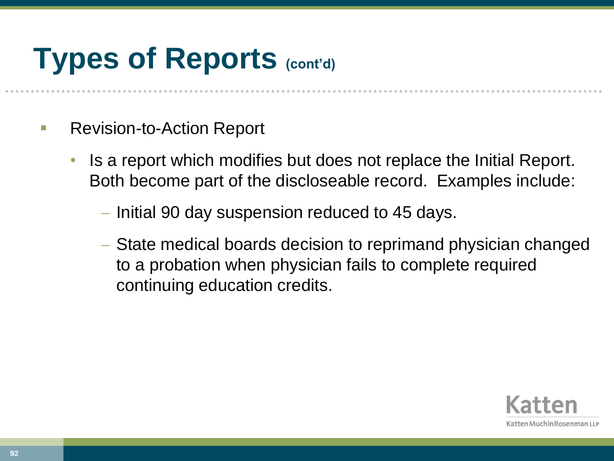# **Types of Reports (cont'd)**

- Revision-to-Action Report
	- Is a report which modifies but does not replace the Initial Report. Both become part of the discloseable record. Examples include:
		- Initial 90 day suspension reduced to 45 days.
		- State medical boards decision to reprimand physician changed to a probation when physician fails to complete required continuing education credits.

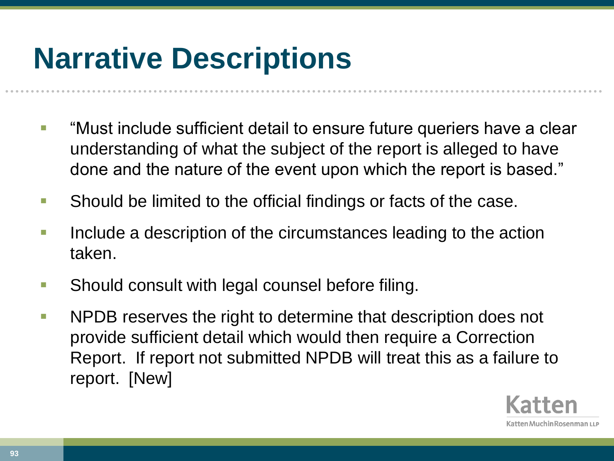# **Narrative Descriptions**

- "Must include sufficient detail to ensure future queriers have a clear understanding of what the subject of the report is alleged to have done and the nature of the event upon which the report is based."
- **Should be limited to the official findings or facts of the case.**
- Include a description of the circumstances leading to the action taken.
- **Should consult with legal counsel before filing.**
- **NPDB** reserves the right to determine that description does not provide sufficient detail which would then require a Correction Report. If report not submitted NPDB will treat this as a failure to report. [New]

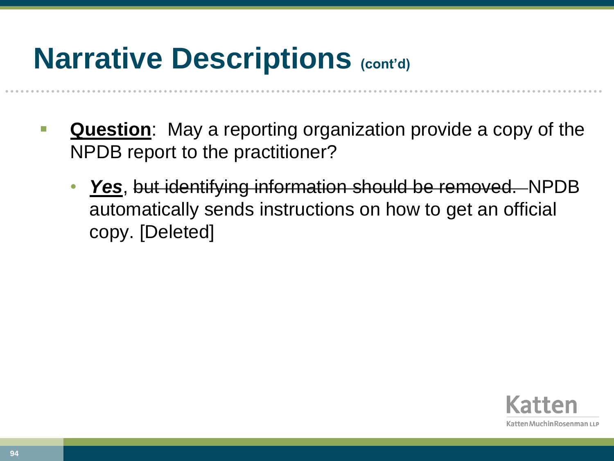### **Narrative Descriptions (cont'd)**

- **Question**: May a reporting organization provide a copy of the NPDB report to the practitioner?
	- *Yes*, but identifying information should be removed. NPDB automatically sends instructions on how to get an official copy. [Deleted]

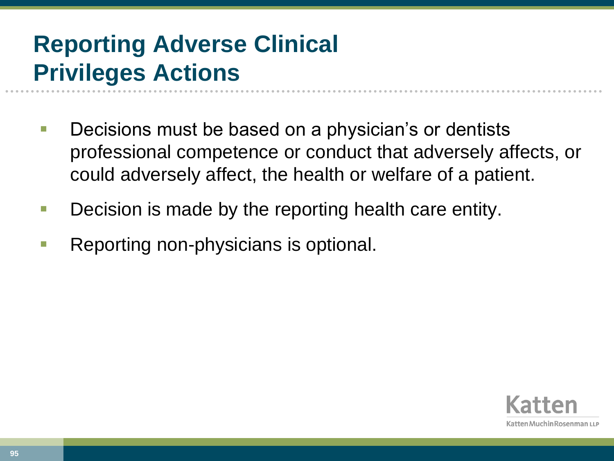#### **Reporting Adverse Clinical Privileges Actions**

- Decisions must be based on a physician's or dentists professional competence or conduct that adversely affects, or could adversely affect, the health or welfare of a patient.
- **Decision is made by the reporting health care entity.**
- Reporting non-physicians is optional.

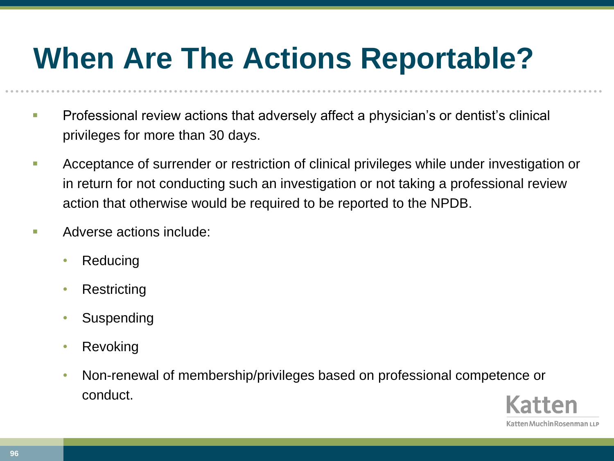# **When Are The Actions Reportable?**

- **Professional review actions that adversely affect a physician's or dentist's clinical** privileges for more than 30 days.
- **Acceptance of surrender or restriction of clinical privileges while under investigation or** in return for not conducting such an investigation or not taking a professional review action that otherwise would be required to be reported to the NPDB.
- **Adverse actions include:** 
	- Reducing
	- **Restricting**
	- **Suspending**
	- Revoking
	- Non-renewal of membership/privileges based on professional competence or conduct.

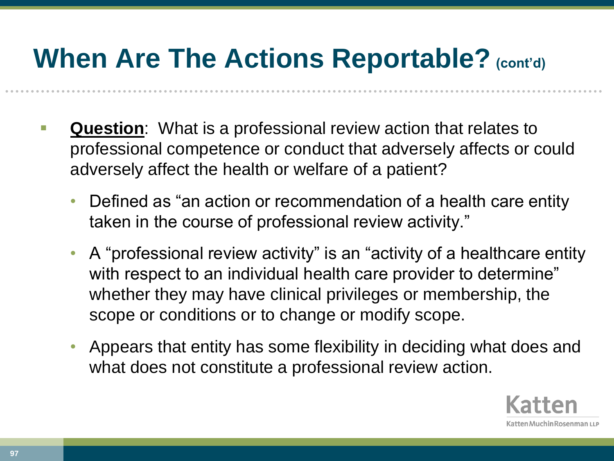- **Question**: What is a professional review action that relates to professional competence or conduct that adversely affects or could adversely affect the health or welfare of a patient?
	- Defined as "an action or recommendation of a health care entity taken in the course of professional review activity."
	- A "professional review activity" is an "activity of a healthcare entity with respect to an individual health care provider to determine" whether they may have clinical privileges or membership, the scope or conditions or to change or modify scope.
	- Appears that entity has some flexibility in deciding what does and what does not constitute a professional review action.

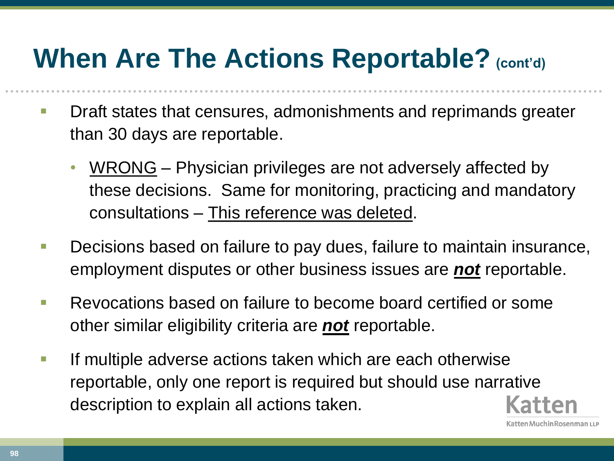- **Draft states that censures, admonishments and reprimands greater** than 30 days are reportable.
	- WRONG Physician privileges are not adversely affected by these decisions. Same for monitoring, practicing and mandatory consultations – This reference was deleted.
- **Decisions based on failure to pay dues, failure to maintain insurance,** employment disputes or other business issues are *not* reportable.
- **Revocations based on failure to become board certified or some** other similar eligibility criteria are *not* reportable.
- **If multiple adverse actions taken which are each otherwise** reportable, only one report is required but should use narrative description to explain all actions taken.

**98**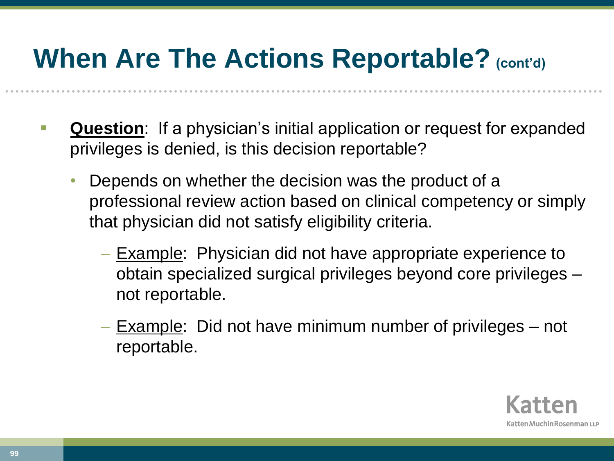- **Question**: If a physician's initial application or request for expanded privileges is denied, is this decision reportable?
	- Depends on whether the decision was the product of a professional review action based on clinical competency or simply that physician did not satisfy eligibility criteria.
		- Example: Physician did not have appropriate experience to obtain specialized surgical privileges beyond core privileges – not reportable.
		- Example: Did not have minimum number of privileges not reportable.

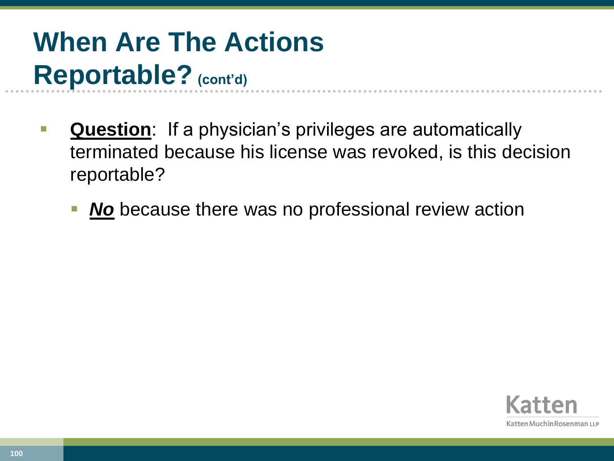- **Question**: If a physician's privileges are automatically terminated because his license was revoked, is this decision reportable?
	- *No* because there was no professional review action

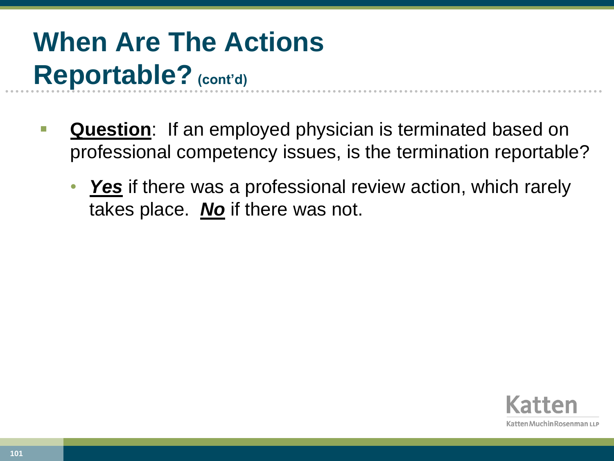- **Question**: If an employed physician is terminated based on professional competency issues, is the termination reportable?
	- *Yes* if there was a professional review action, which rarely takes place. *No* if there was not.

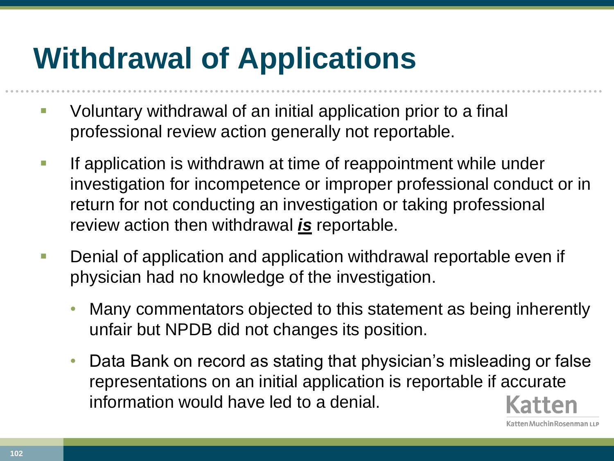# **Withdrawal of Applications**

- **U** Voluntary withdrawal of an initial application prior to a final professional review action generally not reportable.
- **If application is withdrawn at time of reappointment while under** investigation for incompetence or improper professional conduct or in return for not conducting an investigation or taking professional review action then withdrawal *is* reportable.
- **Denial of application and application withdrawal reportable even if** physician had no knowledge of the investigation.
	- Many commentators objected to this statement as being inherently unfair but NPDB did not changes its position.
	- Data Bank on record as stating that physician's misleading or false representations on an initial application is reportable if accurate information would have led to a denial.

atten Muchin Rosenman LLP

**102**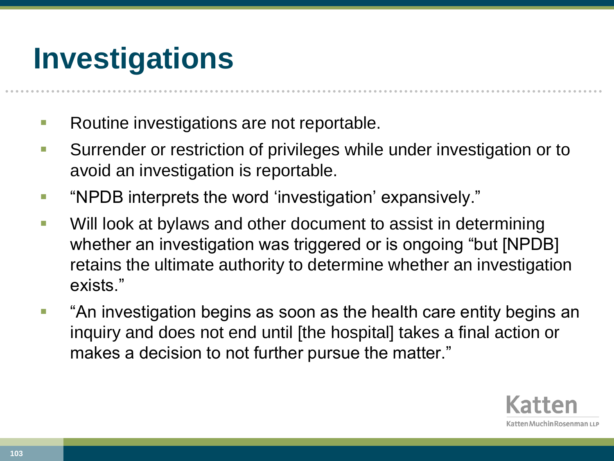# **Investigations**

- Routine investigations are not reportable.
- **Surrender or restriction of privileges while under investigation or to** avoid an investigation is reportable.
- "NPDB interprets the word 'investigation' expansively."
- **Will look at bylaws and other document to assist in determining** whether an investigation was triggered or is ongoing "but [NPDB] retains the ultimate authority to determine whether an investigation exists."
- "An investigation begins as soon as the health care entity begins an inquiry and does not end until [the hospital] takes a final action or makes a decision to not further pursue the matter."

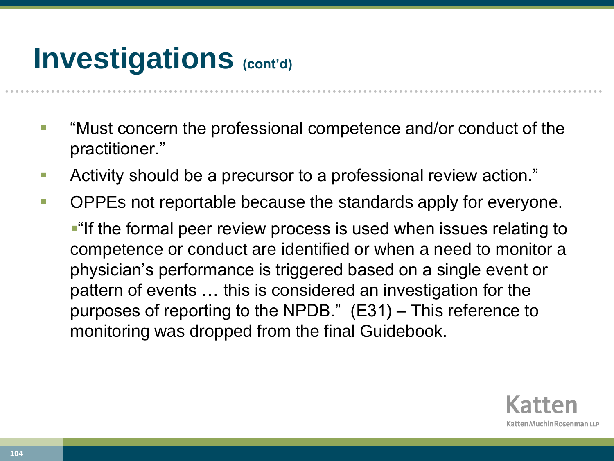## **Investigations** (cont'd)

- **If** "Must concern the professional competence and/or conduct of the practitioner."
- **Activity should be a precursor to a professional review action.**"
- **DEPES not reportable because the standards apply for everyone.**

**-** "If the formal peer review process is used when issues relating to competence or conduct are identified or when a need to monitor a physician's performance is triggered based on a single event or pattern of events … this is considered an investigation for the purposes of reporting to the NPDB." (E31) – This reference to monitoring was dropped from the final Guidebook.

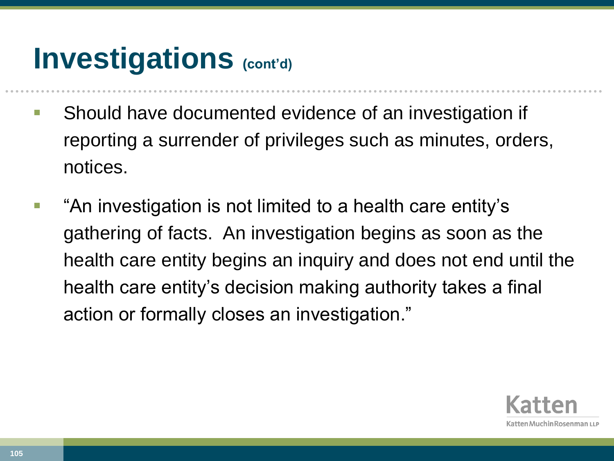## **Investigations** (cont'd)

- **Should have documented evidence of an investigation if** reporting a surrender of privileges such as minutes, orders, notices.
- **•** "An investigation is not limited to a health care entity's gathering of facts. An investigation begins as soon as the health care entity begins an inquiry and does not end until the health care entity's decision making authority takes a final action or formally closes an investigation."

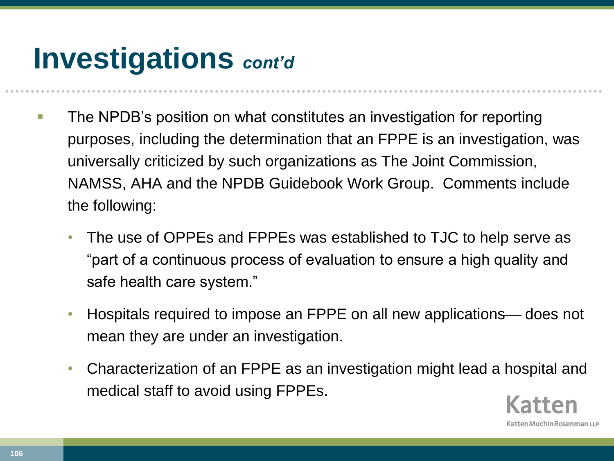## **Investigations** *cont'd*

- **The NPDB's position on what constitutes an investigation for reporting** purposes, including the determination that an FPPE is an investigation, was universally criticized by such organizations as The Joint Commission, NAMSS, AHA and the NPDB Guidebook Work Group. Comments include the following:
	- The use of OPPEs and FPPEs was established to TJC to help serve as "part of a continuous process of evaluation to ensure a high quality and safe health care system."
	- Hospitals required to impose an FPPE on all new applications— does not mean they are under an investigation.
	- Characterization of an FPPE as an investigation might lead a hospital and medical staff to avoid using FPPEs.

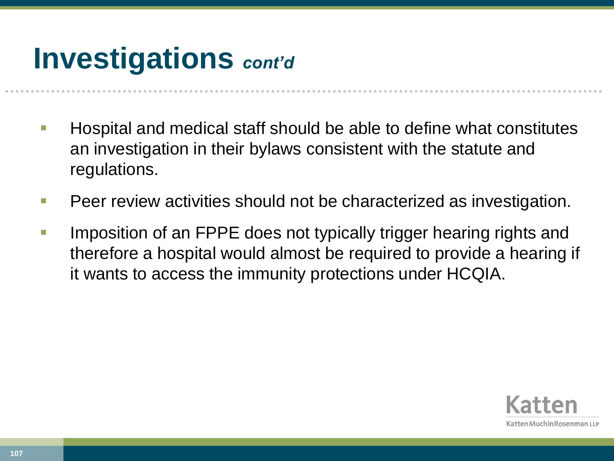## **Investigations** *cont'd*

- $\blacksquare$  Hospital and medical staff should be able to define what constitutes an investigation in their bylaws consistent with the statute and regulations.
- **Peer review activities should not be characterized as investigation.**
- **IMPOSITION OF ANTEL THE STARK IS ADDED** to the UPPE does not typically trigger hearing rights and therefore a hospital would almost be required to provide a hearing if it wants to access the immunity protections under HCQIA.

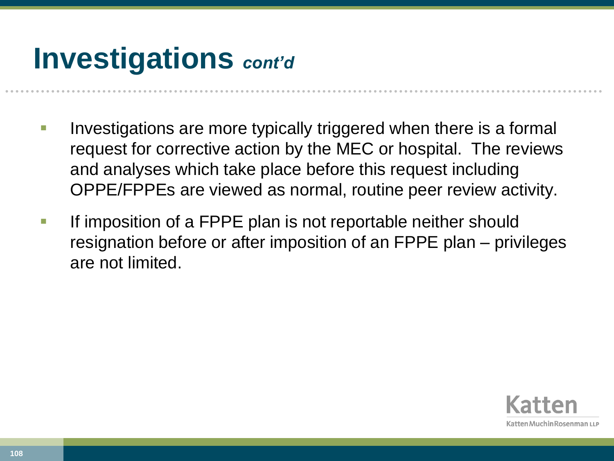## **Investigations** *cont'd*

- Investigations are more typically triggered when there is a formal request for corrective action by the MEC or hospital. The reviews and analyses which take place before this request including OPPE/FPPEs are viewed as normal, routine peer review activity.
- If imposition of a FPPE plan is not reportable neither should resignation before or after imposition of an FPPE plan – privileges are not limited.

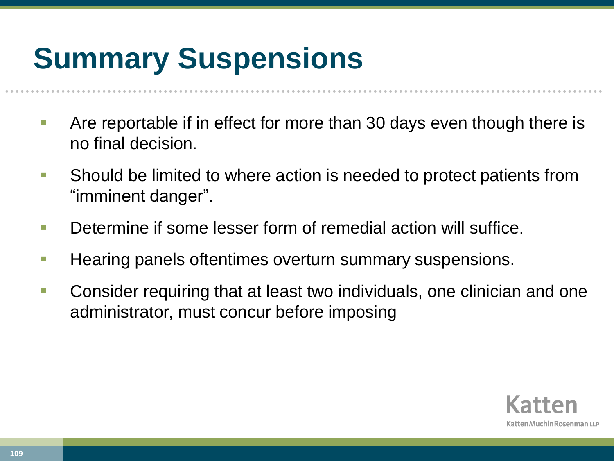## **Summary Suspensions**

- Are reportable if in effect for more than 30 days even though there is no final decision.
- Should be limited to where action is needed to protect patients from "imminent danger".
- **Determine if some lesser form of remedial action will suffice.**
- **Hearing panels oftentimes overturn summary suspensions.**
- Consider requiring that at least two individuals, one clinician and one administrator, must concur before imposing

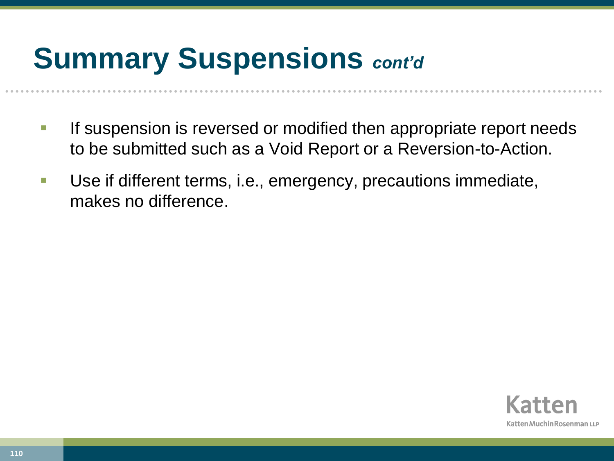## **Summary Suspensions** *cont'd*

- **If suspension is reversed or modified then appropriate report needs** to be submitted such as a Void Report or a Reversion-to-Action.
- Use if different terms, i.e., emergency, precautions immediate, makes no difference.

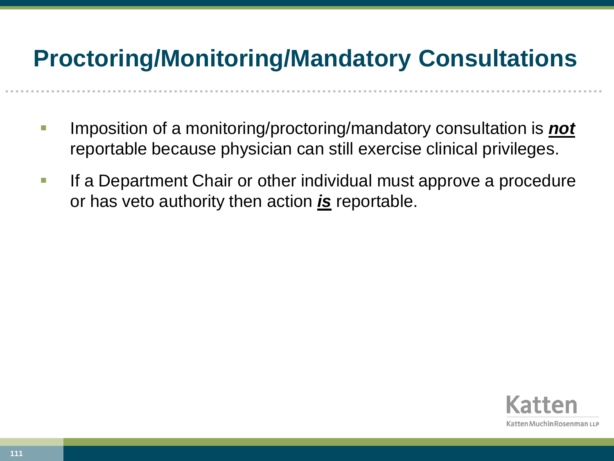## **Proctoring/Monitoring/Mandatory Consultations**

- Imposition of a monitoring/proctoring/mandatory consultation is *not* reportable because physician can still exercise clinical privileges.
- **If a Department Chair or other individual must approve a procedure** or has veto authority then action *is* reportable.